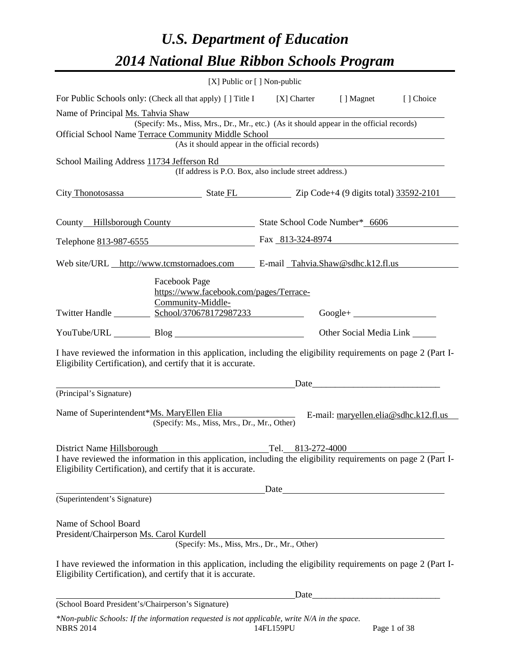## *U.S. Department of Education 2014 National Blue Ribbon Schools Program*

|                                                                                                                                                                                | [X] Public or [] Non-public                                                              |                   |                                                                                                                                                                                                                               |  |
|--------------------------------------------------------------------------------------------------------------------------------------------------------------------------------|------------------------------------------------------------------------------------------|-------------------|-------------------------------------------------------------------------------------------------------------------------------------------------------------------------------------------------------------------------------|--|
| For Public Schools only: (Check all that apply) [] Title I [I] Charter [] Magnet [] Choice                                                                                     |                                                                                          |                   |                                                                                                                                                                                                                               |  |
| Name of Principal Ms. Tahvia Shaw                                                                                                                                              | (Specify: Ms., Miss, Mrs., Dr., Mr., etc.) (As it should appear in the official records) |                   |                                                                                                                                                                                                                               |  |
| Official School Name Terrace Community Middle School Manual Community Middle School<br>(As it should appear in the official records)                                           |                                                                                          |                   |                                                                                                                                                                                                                               |  |
|                                                                                                                                                                                | (If address is P.O. Box, also include street address.)                                   |                   |                                                                                                                                                                                                                               |  |
| City Thonotosassa State FL Zip Code+4 (9 digits total) 33592-2101                                                                                                              |                                                                                          |                   |                                                                                                                                                                                                                               |  |
| County Hillsborough County State School Code Number* 6606                                                                                                                      |                                                                                          |                   |                                                                                                                                                                                                                               |  |
| Telephone 813-987-6555 Fax 813-324-8974                                                                                                                                        |                                                                                          |                   |                                                                                                                                                                                                                               |  |
| Web site/URL http://www.tcmstornadoes.com E-mail Tahvia.Shaw@sdhc.k12.fl.us                                                                                                    |                                                                                          |                   |                                                                                                                                                                                                                               |  |
|                                                                                                                                                                                | Facebook Page<br>https://www.facebook.com/pages/Terrace-<br>Community-Middle-            |                   |                                                                                                                                                                                                                               |  |
|                                                                                                                                                                                |                                                                                          |                   | $Google + \_$                                                                                                                                                                                                                 |  |
|                                                                                                                                                                                | YouTube/URL Blog Blog<br>Other Social Media Link                                         |                   |                                                                                                                                                                                                                               |  |
| I have reviewed the information in this application, including the eligibility requirements on page 2 (Part I-<br>Eligibility Certification), and certify that it is accurate. |                                                                                          |                   |                                                                                                                                                                                                                               |  |
|                                                                                                                                                                                |                                                                                          |                   | Date and the same state of the state of the state of the state of the state of the state of the state of the state of the state of the state of the state of the state of the state of the state of the state of the state of |  |
| (Principal's Signature)                                                                                                                                                        |                                                                                          |                   |                                                                                                                                                                                                                               |  |
| Name of Superintendent*Ms. MaryEllen Elia                                                                                                                                      | (Specify: Ms., Miss, Mrs., Dr., Mr., Other)                                              |                   | E-mail: maryellen.elia@sdhc.k12.fl.us                                                                                                                                                                                         |  |
| District Name Hillsborough                                                                                                                                                     |                                                                                          | Tel. 813-272-4000 |                                                                                                                                                                                                                               |  |
| I have reviewed the information in this application, including the eligibility requirements on page 2 (Part I-<br>Eligibility Certification), and certify that it is accurate. |                                                                                          |                   |                                                                                                                                                                                                                               |  |
|                                                                                                                                                                                |                                                                                          | Date              |                                                                                                                                                                                                                               |  |
| (Superintendent's Signature)                                                                                                                                                   |                                                                                          |                   |                                                                                                                                                                                                                               |  |
| Name of School Board<br>President/Chairperson Ms. Carol Kurdell                                                                                                                | (Specify: Ms., Miss, Mrs., Dr., Mr., Other)                                              |                   |                                                                                                                                                                                                                               |  |
| I have reviewed the information in this application, including the eligibility requirements on page 2 (Part I-<br>Eligibility Certification), and certify that it is accurate. |                                                                                          |                   |                                                                                                                                                                                                                               |  |
|                                                                                                                                                                                |                                                                                          |                   |                                                                                                                                                                                                                               |  |
| (School Board President's/Chairperson's Signature)                                                                                                                             |                                                                                          |                   |                                                                                                                                                                                                                               |  |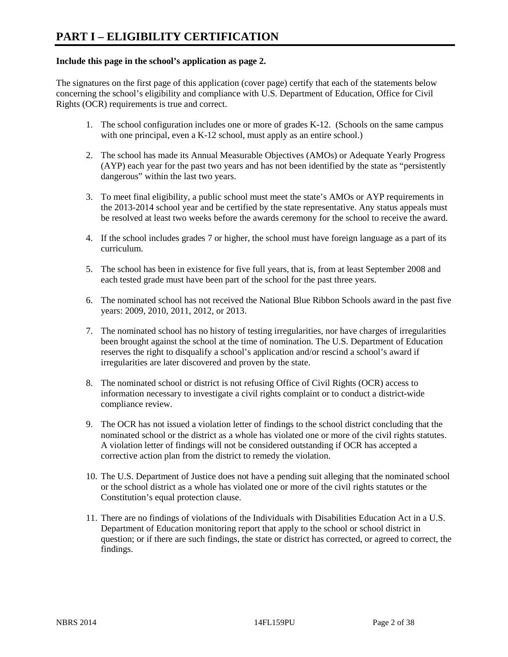### **Include this page in the school's application as page 2.**

The signatures on the first page of this application (cover page) certify that each of the statements below concerning the school's eligibility and compliance with U.S. Department of Education, Office for Civil Rights (OCR) requirements is true and correct.

- 1. The school configuration includes one or more of grades K-12. (Schools on the same campus with one principal, even a K-12 school, must apply as an entire school.)
- 2. The school has made its Annual Measurable Objectives (AMOs) or Adequate Yearly Progress (AYP) each year for the past two years and has not been identified by the state as "persistently dangerous" within the last two years.
- 3. To meet final eligibility, a public school must meet the state's AMOs or AYP requirements in the 2013-2014 school year and be certified by the state representative. Any status appeals must be resolved at least two weeks before the awards ceremony for the school to receive the award.
- 4. If the school includes grades 7 or higher, the school must have foreign language as a part of its curriculum.
- 5. The school has been in existence for five full years, that is, from at least September 2008 and each tested grade must have been part of the school for the past three years.
- 6. The nominated school has not received the National Blue Ribbon Schools award in the past five years: 2009, 2010, 2011, 2012, or 2013.
- 7. The nominated school has no history of testing irregularities, nor have charges of irregularities been brought against the school at the time of nomination. The U.S. Department of Education reserves the right to disqualify a school's application and/or rescind a school's award if irregularities are later discovered and proven by the state.
- 8. The nominated school or district is not refusing Office of Civil Rights (OCR) access to information necessary to investigate a civil rights complaint or to conduct a district-wide compliance review.
- 9. The OCR has not issued a violation letter of findings to the school district concluding that the nominated school or the district as a whole has violated one or more of the civil rights statutes. A violation letter of findings will not be considered outstanding if OCR has accepted a corrective action plan from the district to remedy the violation.
- 10. The U.S. Department of Justice does not have a pending suit alleging that the nominated school or the school district as a whole has violated one or more of the civil rights statutes or the Constitution's equal protection clause.
- 11. There are no findings of violations of the Individuals with Disabilities Education Act in a U.S. Department of Education monitoring report that apply to the school or school district in question; or if there are such findings, the state or district has corrected, or agreed to correct, the findings.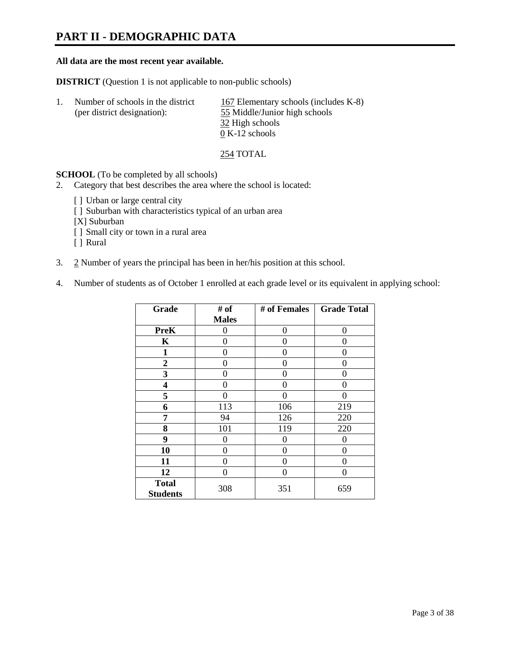### **PART II - DEMOGRAPHIC DATA**

### **All data are the most recent year available.**

**DISTRICT** (Question 1 is not applicable to non-public schools)

| -1. | Number of schools in the district | 167 Elementary schools (includes K-8) |
|-----|-----------------------------------|---------------------------------------|
|     | (per district designation):       | 55 Middle/Junior high schools         |
|     |                                   | 32 High schools                       |
|     |                                   | $0 K-12$ schools                      |

254 TOTAL

**SCHOOL** (To be completed by all schools)

- 2. Category that best describes the area where the school is located:
	- [] Urban or large central city
	- [ ] Suburban with characteristics typical of an urban area
	- [X] Suburban
	- [ ] Small city or town in a rural area
	- [ ] Rural
- 3. 2 Number of years the principal has been in her/his position at this school.
- 4. Number of students as of October 1 enrolled at each grade level or its equivalent in applying school:

| Grade                           | # of         | # of Females | <b>Grade Total</b> |
|---------------------------------|--------------|--------------|--------------------|
|                                 | <b>Males</b> |              |                    |
| <b>PreK</b>                     | 0            | $\Omega$     | 0                  |
| K                               | 0            | 0            | 0                  |
| $\mathbf{1}$                    | 0            | 0            | 0                  |
| $\overline{2}$                  | 0            | 0            | 0                  |
| 3                               | 0            | 0            | 0                  |
| 4                               | 0            | 0            | 0                  |
| 5                               | 0            | 0            | 0                  |
| 6                               | 113          | 106          | 219                |
| 7                               | 94           | 126          | 220                |
| 8                               | 101          | 119          | 220                |
| 9                               | 0            | 0            | 0                  |
| 10                              | 0            | 0            | 0                  |
| 11                              | 0            | 0            | 0                  |
| 12                              | 0            | 0            | 0                  |
| <b>Total</b><br><b>Students</b> | 308          | 351          | 659                |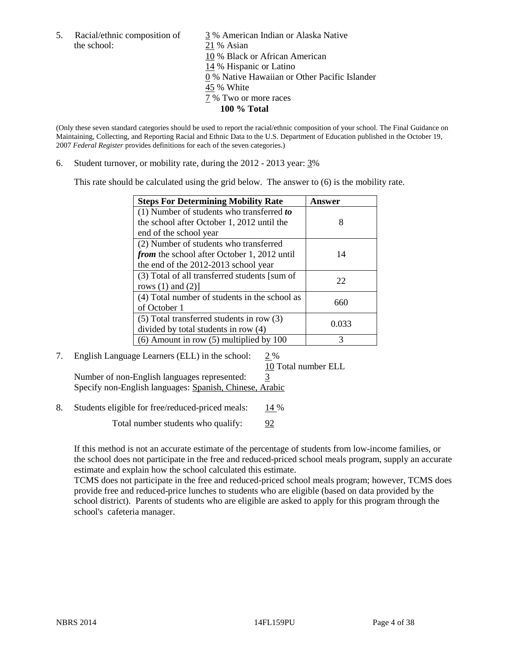the school: 21 % Asian

5. Racial/ethnic composition of 3 % American Indian or Alaska Native 10 % Black or African American 14 % Hispanic or Latino 0 % Native Hawaiian or Other Pacific Islander 45 % White 7 % Two or more races **100 % Total** 

(Only these seven standard categories should be used to report the racial/ethnic composition of your school. The Final Guidance on Maintaining, Collecting, and Reporting Racial and Ethnic Data to the U.S. Department of Education published in the October 19, 2007 *Federal Register* provides definitions for each of the seven categories.)

6. Student turnover, or mobility rate, during the 2012 - 2013 year: 3%

This rate should be calculated using the grid below. The answer to (6) is the mobility rate.

| <b>Steps For Determining Mobility Rate</b>         | <b>Answer</b> |
|----------------------------------------------------|---------------|
| (1) Number of students who transferred to          |               |
| the school after October 1, 2012 until the         | 8             |
| end of the school year                             |               |
| (2) Number of students who transferred             |               |
| <i>from</i> the school after October 1, 2012 until | 14            |
| the end of the 2012-2013 school year               |               |
| (3) Total of all transferred students [sum of      | 22            |
| rows $(1)$ and $(2)$ ]                             |               |
| (4) Total number of students in the school as      | 660           |
| of October 1                                       |               |
| $(5)$ Total transferred students in row $(3)$      |               |
| divided by total students in row (4)               | 0.033         |
| $(6)$ Amount in row $(5)$ multiplied by 100        | 3             |

### 7. English Language Learners (ELL) in the school: 2 %

10 Total number ELL

Number of non-English languages represented: 3 Specify non-English languages: Spanish, Chinese, Arabic

8. Students eligible for free/reduced-priced meals: 14 %

Total number students who qualify: 92

If this method is not an accurate estimate of the percentage of students from low-income families, or the school does not participate in the free and reduced-priced school meals program, supply an accurate estimate and explain how the school calculated this estimate.

TCMS does not participate in the free and reduced-priced school meals program; however, TCMS does provide free and reduced-price lunches to students who are eligible (based on data provided by the school district). Parents of students who are eligible are asked to apply for this program through the school's cafeteria manager.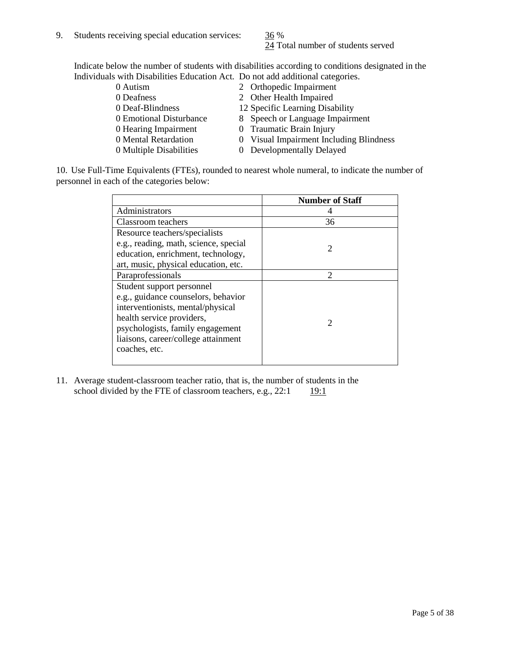24 Total number of students served

Indicate below the number of students with disabilities according to conditions designated in the Individuals with Disabilities Education Act. Do not add additional categories.

| 0 Autism                | 2 Orthopedic Impairment                 |
|-------------------------|-----------------------------------------|
| 0 Deafness              | 2 Other Health Impaired                 |
| 0 Deaf-Blindness        | 12 Specific Learning Disability         |
| 0 Emotional Disturbance | 8 Speech or Language Impairment         |
| 0 Hearing Impairment    | 0 Traumatic Brain Injury                |
| 0 Mental Retardation    | 0 Visual Impairment Including Blindness |
| 0 Multiple Disabilities | 0 Developmentally Delayed               |
|                         |                                         |

10. Use Full-Time Equivalents (FTEs), rounded to nearest whole numeral, to indicate the number of personnel in each of the categories below:

|                                       | <b>Number of Staff</b>      |
|---------------------------------------|-----------------------------|
| Administrators                        |                             |
| Classroom teachers                    | 36                          |
| Resource teachers/specialists         |                             |
| e.g., reading, math, science, special | $\mathcal{D}$               |
| education, enrichment, technology,    |                             |
| art, music, physical education, etc.  |                             |
| Paraprofessionals                     | $\mathcal{D}_{\mathcal{L}}$ |
| Student support personnel             |                             |
| e.g., guidance counselors, behavior   |                             |
| interventionists, mental/physical     |                             |
| health service providers,             | 2                           |
| psychologists, family engagement      |                             |
| liaisons, career/college attainment   |                             |
| coaches, etc.                         |                             |
|                                       |                             |

11. Average student-classroom teacher ratio, that is, the number of students in the school divided by the FTE of classroom teachers, e.g.,  $22:1$  19:1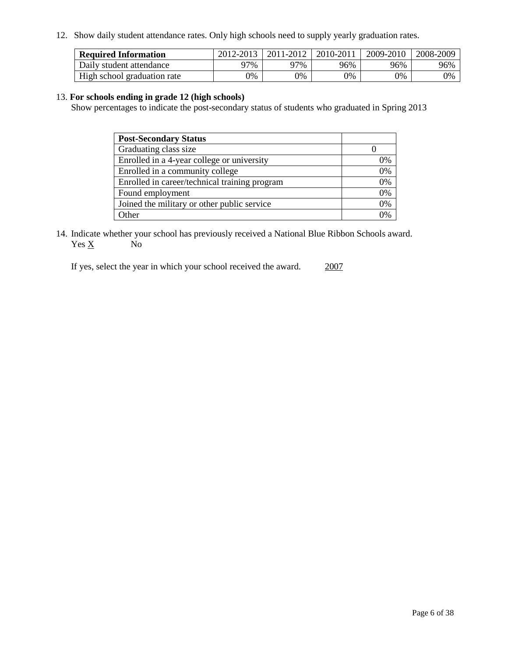12. Show daily student attendance rates. Only high schools need to supply yearly graduation rates.

| <b>Required Information</b> | 2012-2013 | 2011-2012 | 2010-2011 | 2009-2010 | 2008-2009 |
|-----------------------------|-----------|-----------|-----------|-----------|-----------|
| Daily student attendance    | 77%       | 97%       | 96%       | 96%       | 96%       |
| High school graduation rate | 0%        | 9%        | 0%        | 0%        | 0%        |

### 13. **For schools ending in grade 12 (high schools)**

Show percentages to indicate the post-secondary status of students who graduated in Spring 2013

| <b>Post-Secondary Status</b>                  |                |
|-----------------------------------------------|----------------|
| Graduating class size                         |                |
| Enrolled in a 4-year college or university    | 0%             |
| Enrolled in a community college               | 0%             |
| Enrolled in career/technical training program | 0%             |
| Found employment                              | 0%             |
| Joined the military or other public service   | 0%             |
| <b>Other</b>                                  | $\gamma_{0/2}$ |

14. Indicate whether your school has previously received a National Blue Ribbon Schools award.  $Yes \underline{X}$  No

If yes, select the year in which your school received the award. 2007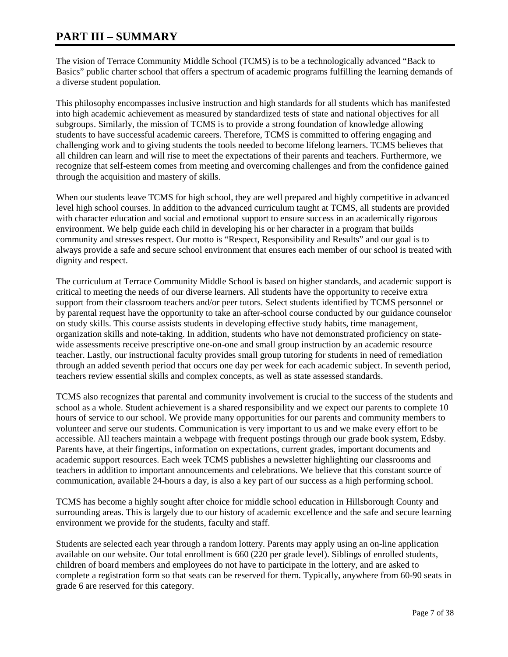### **PART III – SUMMARY**

The vision of Terrace Community Middle School (TCMS) is to be a technologically advanced "Back to Basics" public charter school that offers a spectrum of academic programs fulfilling the learning demands of a diverse student population.

This philosophy encompasses inclusive instruction and high standards for all students which has manifested into high academic achievement as measured by standardized tests of state and national objectives for all subgroups. Similarly, the mission of TCMS is to provide a strong foundation of knowledge allowing students to have successful academic careers. Therefore, TCMS is committed to offering engaging and challenging work and to giving students the tools needed to become lifelong learners. TCMS believes that all children can learn and will rise to meet the expectations of their parents and teachers. Furthermore, we recognize that self-esteem comes from meeting and overcoming challenges and from the confidence gained through the acquisition and mastery of skills.

When our students leave TCMS for high school, they are well prepared and highly competitive in advanced level high school courses. In addition to the advanced curriculum taught at TCMS, all students are provided with character education and social and emotional support to ensure success in an academically rigorous environment. We help guide each child in developing his or her character in a program that builds community and stresses respect. Our motto is "Respect, Responsibility and Results" and our goal is to always provide a safe and secure school environment that ensures each member of our school is treated with dignity and respect.

The curriculum at Terrace Community Middle School is based on higher standards, and academic support is critical to meeting the needs of our diverse learners. All students have the opportunity to receive extra support from their classroom teachers and/or peer tutors. Select students identified by TCMS personnel or by parental request have the opportunity to take an after-school course conducted by our guidance counselor on study skills. This course assists students in developing effective study habits, time management, organization skills and note-taking. In addition, students who have not demonstrated proficiency on statewide assessments receive prescriptive one-on-one and small group instruction by an academic resource teacher. Lastly, our instructional faculty provides small group tutoring for students in need of remediation through an added seventh period that occurs one day per week for each academic subject. In seventh period, teachers review essential skills and complex concepts, as well as state assessed standards.

TCMS also recognizes that parental and community involvement is crucial to the success of the students and school as a whole. Student achievement is a shared responsibility and we expect our parents to complete 10 hours of service to our school. We provide many opportunities for our parents and community members to volunteer and serve our students. Communication is very important to us and we make every effort to be accessible. All teachers maintain a webpage with frequent postings through our grade book system, Edsby. Parents have, at their fingertips, information on expectations, current grades, important documents and academic support resources. Each week TCMS publishes a newsletter highlighting our classrooms and teachers in addition to important announcements and celebrations. We believe that this constant source of communication, available 24-hours a day, is also a key part of our success as a high performing school.

TCMS has become a highly sought after choice for middle school education in Hillsborough County and surrounding areas. This is largely due to our history of academic excellence and the safe and secure learning environment we provide for the students, faculty and staff.

Students are selected each year through a random lottery. Parents may apply using an on-line application available on our website. Our total enrollment is 660 (220 per grade level). Siblings of enrolled students, children of board members and employees do not have to participate in the lottery, and are asked to complete a registration form so that seats can be reserved for them. Typically, anywhere from 60-90 seats in grade 6 are reserved for this category.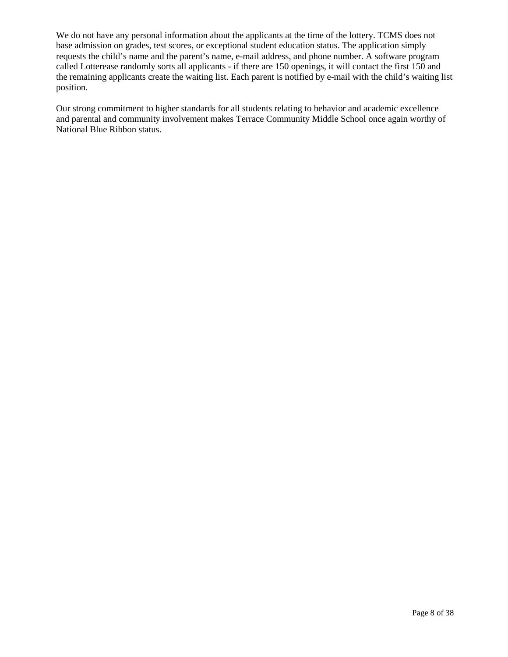We do not have any personal information about the applicants at the time of the lottery. TCMS does not base admission on grades, test scores, or exceptional student education status. The application simply requests the child's name and the parent's name, e-mail address, and phone number. A software program called Lotterease randomly sorts all applicants - if there are 150 openings, it will contact the first 150 and the remaining applicants create the waiting list. Each parent is notified by e-mail with the child's waiting list position.

Our strong commitment to higher standards for all students relating to behavior and academic excellence and parental and community involvement makes Terrace Community Middle School once again worthy of National Blue Ribbon status.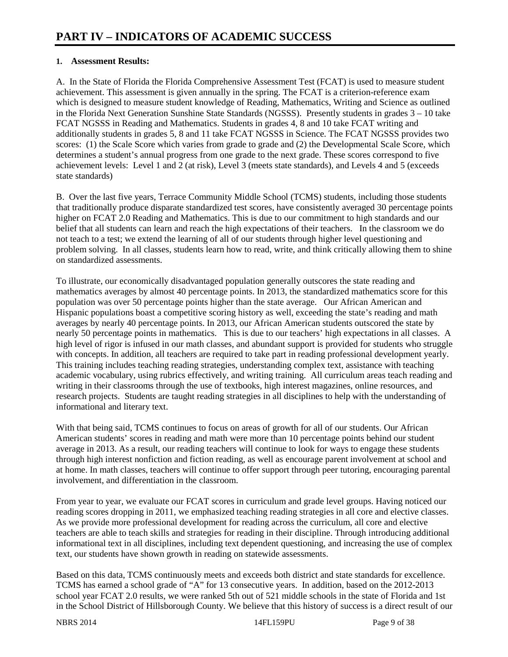### **1. Assessment Results:**

A. In the State of Florida the Florida Comprehensive Assessment Test (FCAT) is used to measure student achievement. This assessment is given annually in the spring. The FCAT is a criterion-reference exam which is designed to measure student knowledge of Reading, Mathematics, Writing and Science as outlined in the Florida Next Generation Sunshine State Standards (NGSSS). Presently students in grades 3 – 10 take FCAT NGSSS in Reading and Mathematics. Students in grades 4, 8 and 10 take FCAT writing and additionally students in grades 5, 8 and 11 take FCAT NGSSS in Science. The FCAT NGSSS provides two scores: (1) the Scale Score which varies from grade to grade and (2) the Developmental Scale Score, which determines a student's annual progress from one grade to the next grade. These scores correspond to five achievement levels: Level 1 and 2 (at risk), Level 3 (meets state standards), and Levels 4 and 5 (exceeds state standards)

B. Over the last five years, Terrace Community Middle School (TCMS) students, including those students that traditionally produce disparate standardized test scores, have consistently averaged 30 percentage points higher on FCAT 2.0 Reading and Mathematics. This is due to our commitment to high standards and our belief that all students can learn and reach the high expectations of their teachers. In the classroom we do not teach to a test; we extend the learning of all of our students through higher level questioning and problem solving. In all classes, students learn how to read, write, and think critically allowing them to shine on standardized assessments.

To illustrate, our economically disadvantaged population generally outscores the state reading and mathematics averages by almost 40 percentage points. In 2013, the standardized mathematics score for this population was over 50 percentage points higher than the state average. Our African American and Hispanic populations boast a competitive scoring history as well, exceeding the state's reading and math averages by nearly 40 percentage points. In 2013, our African American students outscored the state by nearly 50 percentage points in mathematics. This is due to our teachers' high expectations in all classes. A high level of rigor is infused in our math classes, and abundant support is provided for students who struggle with concepts. In addition, all teachers are required to take part in reading professional development yearly. This training includes teaching reading strategies, understanding complex text, assistance with teaching academic vocabulary, using rubrics effectively, and writing training. All curriculum areas teach reading and writing in their classrooms through the use of textbooks, high interest magazines, online resources, and research projects. Students are taught reading strategies in all disciplines to help with the understanding of informational and literary text.

With that being said, TCMS continues to focus on areas of growth for all of our students. Our African American students' scores in reading and math were more than 10 percentage points behind our student average in 2013. As a result, our reading teachers will continue to look for ways to engage these students through high interest nonfiction and fiction reading, as well as encourage parent involvement at school and at home. In math classes, teachers will continue to offer support through peer tutoring, encouraging parental involvement, and differentiation in the classroom.

From year to year, we evaluate our FCAT scores in curriculum and grade level groups. Having noticed our reading scores dropping in 2011, we emphasized teaching reading strategies in all core and elective classes. As we provide more professional development for reading across the curriculum, all core and elective teachers are able to teach skills and strategies for reading in their discipline. Through introducing additional informational text in all disciplines, including text dependent questioning, and increasing the use of complex text, our students have shown growth in reading on statewide assessments.

Based on this data, TCMS continuously meets and exceeds both district and state standards for excellence. TCMS has earned a school grade of "A" for 13 consecutive years. In addition, based on the 2012-2013 school year FCAT 2.0 results, we were ranked 5th out of 521 middle schools in the state of Florida and 1st in the School District of Hillsborough County. We believe that this history of success is a direct result of our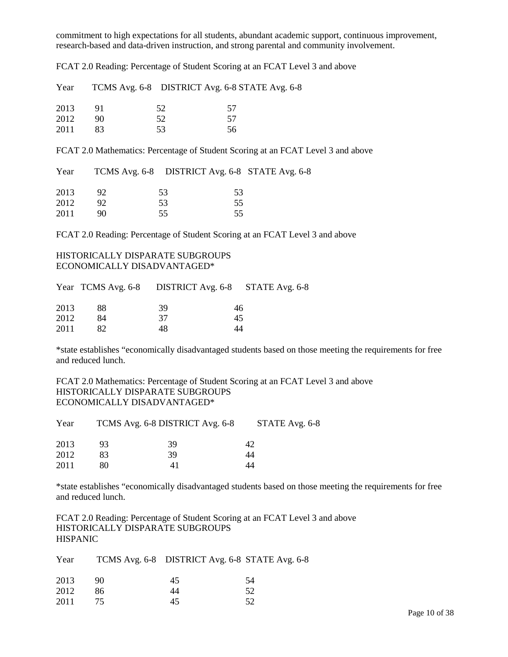commitment to high expectations for all students, abundant academic support, continuous improvement, research-based and data-driven instruction, and strong parental and community involvement.

FCAT 2.0 Reading: Percentage of Student Scoring at an FCAT Level 3 and above

| Year |    |     | TCMS Avg. 6-8 DISTRICT Avg. 6-8 STATE Avg. 6-8 |
|------|----|-----|------------------------------------------------|
| 2013 |    | 52. | 57                                             |
| 2012 | 90 | 52  | 57                                             |
| 2011 | 83 | 53  | 56                                             |

FCAT 2.0 Mathematics: Percentage of Student Scoring at an FCAT Level 3 and above

| Year |    |     | TCMS Avg. 6-8 DISTRICT Avg. 6-8 STATE Avg. 6-8 |
|------|----|-----|------------------------------------------------|
| 2013 |    | 53. | 53                                             |
| 2012 |    | 53  | 55                                             |
| 2011 | 90 | 55. | 55                                             |

FCAT 2.0 Reading: Percentage of Student Scoring at an FCAT Level 3 and above

### HISTORICALLY DISPARATE SUBGROUPS ECONOMICALLY DISADVANTAGED\*

|      |    |    | Year TCMS Avg. 6-8 DISTRICT Avg. 6-8 STATE Avg. 6-8 |
|------|----|----|-----------------------------------------------------|
| 2013 | 88 | 39 | 46                                                  |
| 2012 | 84 | 37 | 45                                                  |
| 2011 |    | 48 | 44                                                  |

\*state establishes "economically disadvantaged students based on those meeting the requirements for free and reduced lunch.

FCAT 2.0 Mathematics: Percentage of Student Scoring at an FCAT Level 3 and above HISTORICALLY DISPARATE SUBGROUPS ECONOMICALLY DISADVANTAGED\*

| Year |    | TCMS Avg. 6-8 DISTRICT Avg. 6-8 | STATE Avg. 6-8 |
|------|----|---------------------------------|----------------|
| 2013 | 93 | 39                              | 42             |
| 2012 | 83 | 39                              | 44             |
| 2011 | 80 | 41                              | 44             |

\*state establishes "economically disadvantaged students based on those meeting the requirements for free and reduced lunch.

FCAT 2.0 Reading: Percentage of Student Scoring at an FCAT Level 3 and above HISTORICALLY DISPARATE SUBGROUPS **HISPANIC** 

| Year |    | TCMS Avg. 6-8 DISTRICT Avg. 6-8 STATE Avg. 6-8 |    |
|------|----|------------------------------------------------|----|
| 2013 | 90 | 45                                             | 54 |
| 2012 | 86 | 44                                             | 52 |
| 2011 |    | 45                                             | 52 |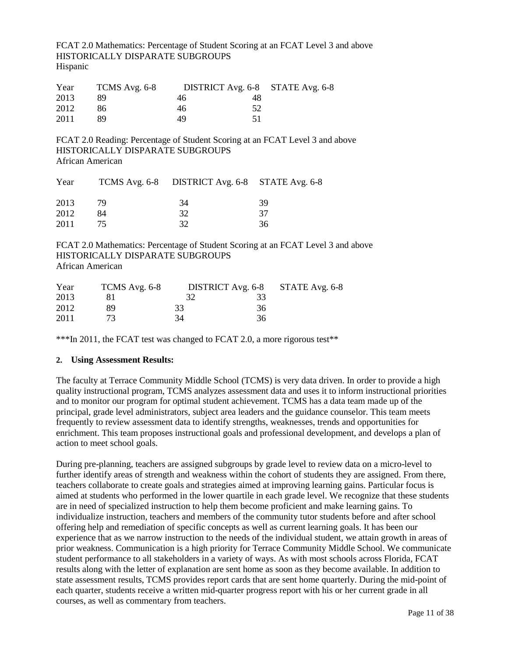FCAT 2.0 Mathematics: Percentage of Student Scoring at an FCAT Level 3 and above HISTORICALLY DISPARATE SUBGROUPS Hispanic

| Year | TCMS Avg. 6-8 | DISTRICT Avg. 6-8 STATE Avg. 6-8 |    |  |
|------|---------------|----------------------------------|----|--|
| 2013 | 89            | 46                               | 48 |  |
| 2012 | 86            | 46                               | 52 |  |
| 2011 | 89            | 49                               |    |  |

FCAT 2.0 Reading: Percentage of Student Scoring at an FCAT Level 3 and above HISTORICALLY DISPARATE SUBGROUPS African American

| Year |    | TCMS Avg. 6-8 DISTRICT Avg. 6-8 STATE Avg. 6-8 |    |
|------|----|------------------------------------------------|----|
| 2013 | 79 | 34                                             | 39 |
| 2012 | 84 | 32                                             | 37 |
| 2011 |    | 32                                             | 36 |

FCAT 2.0 Mathematics: Percentage of Student Scoring at an FCAT Level 3 and above HISTORICALLY DISPARATE SUBGROUPS African American

| Year | TCMS Avg. 6-8 |    |    | DISTRICT Avg. 6-8 STATE Avg. 6-8 |
|------|---------------|----|----|----------------------------------|
| 2013 |               |    | 33 |                                  |
| 2012 | 89            | 33 | 36 |                                  |
| 2011 |               | 34 | 36 |                                  |

\*\*\*In 2011, the FCAT test was changed to FCAT 2.0, a more rigorous test\*\*

#### **2. Using Assessment Results:**

The faculty at Terrace Community Middle School (TCMS) is very data driven. In order to provide a high quality instructional program, TCMS analyzes assessment data and uses it to inform instructional priorities and to monitor our program for optimal student achievement. TCMS has a data team made up of the principal, grade level administrators, subject area leaders and the guidance counselor. This team meets frequently to review assessment data to identify strengths, weaknesses, trends and opportunities for enrichment. This team proposes instructional goals and professional development, and develops a plan of action to meet school goals.

During pre-planning, teachers are assigned subgroups by grade level to review data on a micro-level to further identify areas of strength and weakness within the cohort of students they are assigned. From there, teachers collaborate to create goals and strategies aimed at improving learning gains. Particular focus is aimed at students who performed in the lower quartile in each grade level. We recognize that these students are in need of specialized instruction to help them become proficient and make learning gains. To individualize instruction, teachers and members of the community tutor students before and after school offering help and remediation of specific concepts as well as current learning goals. It has been our experience that as we narrow instruction to the needs of the individual student, we attain growth in areas of prior weakness. Communication is a high priority for Terrace Community Middle School. We communicate student performance to all stakeholders in a variety of ways. As with most schools across Florida, FCAT results along with the letter of explanation are sent home as soon as they become available. In addition to state assessment results, TCMS provides report cards that are sent home quarterly. During the mid-point of each quarter, students receive a written mid-quarter progress report with his or her current grade in all courses, as well as commentary from teachers.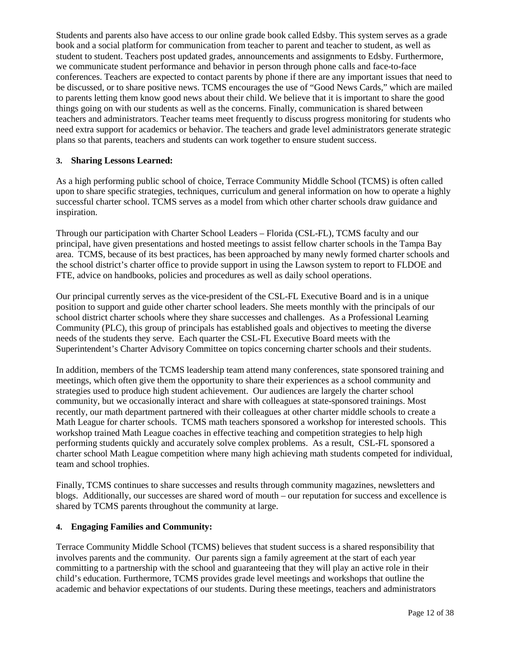Students and parents also have access to our online grade book called Edsby. This system serves as a grade book and a social platform for communication from teacher to parent and teacher to student, as well as student to student. Teachers post updated grades, announcements and assignments to Edsby. Furthermore, we communicate student performance and behavior in person through phone calls and face-to-face conferences. Teachers are expected to contact parents by phone if there are any important issues that need to be discussed, or to share positive news. TCMS encourages the use of "Good News Cards," which are mailed to parents letting them know good news about their child. We believe that it is important to share the good things going on with our students as well as the concerns. Finally, communication is shared between teachers and administrators. Teacher teams meet frequently to discuss progress monitoring for students who need extra support for academics or behavior. The teachers and grade level administrators generate strategic plans so that parents, teachers and students can work together to ensure student success.

### **3. Sharing Lessons Learned:**

As a high performing public school of choice, Terrace Community Middle School (TCMS) is often called upon to share specific strategies, techniques, curriculum and general information on how to operate a highly successful charter school. TCMS serves as a model from which other charter schools draw guidance and inspiration.

Through our participation with Charter School Leaders – Florida (CSL-FL), TCMS faculty and our principal, have given presentations and hosted meetings to assist fellow charter schools in the Tampa Bay area. TCMS, because of its best practices, has been approached by many newly formed charter schools and the school district's charter office to provide support in using the Lawson system to report to FLDOE and FTE, advice on handbooks, policies and procedures as well as daily school operations.

Our principal currently serves as the vice-president of the CSL-FL Executive Board and is in a unique position to support and guide other charter school leaders. She meets monthly with the principals of our school district charter schools where they share successes and challenges. As a Professional Learning Community (PLC), this group of principals has established goals and objectives to meeting the diverse needs of the students they serve. Each quarter the CSL-FL Executive Board meets with the Superintendent's Charter Advisory Committee on topics concerning charter schools and their students.

In addition, members of the TCMS leadership team attend many conferences, state sponsored training and meetings, which often give them the opportunity to share their experiences as a school community and strategies used to produce high student achievement. Our audiences are largely the charter school community, but we occasionally interact and share with colleagues at state-sponsored trainings. Most recently, our math department partnered with their colleagues at other charter middle schools to create a Math League for charter schools. TCMS math teachers sponsored a workshop for interested schools. This workshop trained Math League coaches in effective teaching and competition strategies to help high performing students quickly and accurately solve complex problems. As a result, CSL-FL sponsored a charter school Math League competition where many high achieving math students competed for individual, team and school trophies.

Finally, TCMS continues to share successes and results through community magazines, newsletters and blogs. Additionally, our successes are shared word of mouth – our reputation for success and excellence is shared by TCMS parents throughout the community at large.

### **4. Engaging Families and Community:**

Terrace Community Middle School (TCMS) believes that student success is a shared responsibility that involves parents and the community. Our parents sign a family agreement at the start of each year committing to a partnership with the school and guaranteeing that they will play an active role in their child's education. Furthermore, TCMS provides grade level meetings and workshops that outline the academic and behavior expectations of our students. During these meetings, teachers and administrators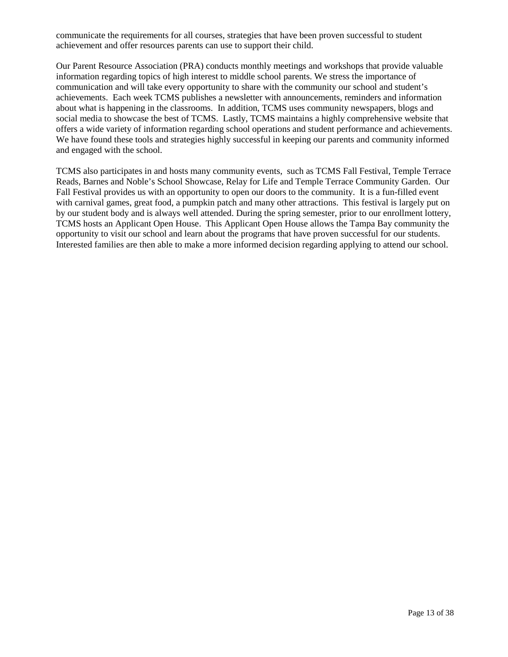communicate the requirements for all courses, strategies that have been proven successful to student achievement and offer resources parents can use to support their child.

Our Parent Resource Association (PRA) conducts monthly meetings and workshops that provide valuable information regarding topics of high interest to middle school parents. We stress the importance of communication and will take every opportunity to share with the community our school and student's achievements. Each week TCMS publishes a newsletter with announcements, reminders and information about what is happening in the classrooms. In addition, TCMS uses community newspapers, blogs and social media to showcase the best of TCMS. Lastly, TCMS maintains a highly comprehensive website that offers a wide variety of information regarding school operations and student performance and achievements. We have found these tools and strategies highly successful in keeping our parents and community informed and engaged with the school.

TCMS also participates in and hosts many community events, such as TCMS Fall Festival, Temple Terrace Reads, Barnes and Noble's School Showcase, Relay for Life and Temple Terrace Community Garden. Our Fall Festival provides us with an opportunity to open our doors to the community. It is a fun-filled event with carnival games, great food, a pumpkin patch and many other attractions. This festival is largely put on by our student body and is always well attended. During the spring semester, prior to our enrollment lottery, TCMS hosts an Applicant Open House. This Applicant Open House allows the Tampa Bay community the opportunity to visit our school and learn about the programs that have proven successful for our students. Interested families are then able to make a more informed decision regarding applying to attend our school.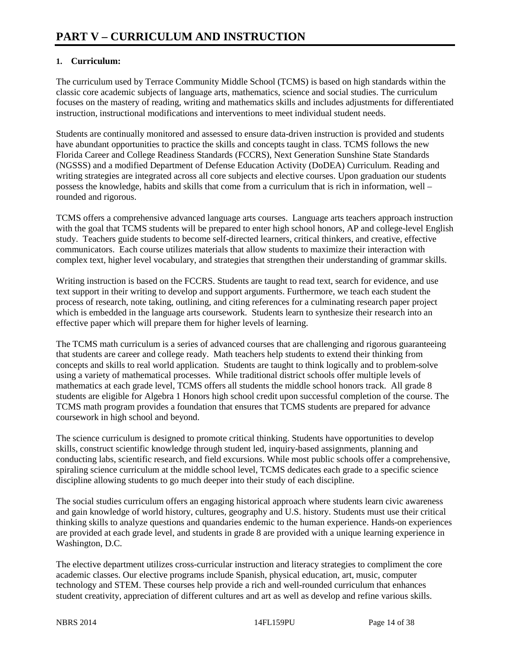### **1. Curriculum:**

The curriculum used by Terrace Community Middle School (TCMS) is based on high standards within the classic core academic subjects of language arts, mathematics, science and social studies. The curriculum focuses on the mastery of reading, writing and mathematics skills and includes adjustments for differentiated instruction, instructional modifications and interventions to meet individual student needs.

Students are continually monitored and assessed to ensure data-driven instruction is provided and students have abundant opportunities to practice the skills and concepts taught in class. TCMS follows the new Florida Career and College Readiness Standards (FCCRS), Next Generation Sunshine State Standards (NGSSS) and a modified Department of Defense Education Activity (DoDEA) Curriculum. Reading and writing strategies are integrated across all core subjects and elective courses. Upon graduation our students possess the knowledge, habits and skills that come from a curriculum that is rich in information, well – rounded and rigorous.

TCMS offers a comprehensive advanced language arts courses. Language arts teachers approach instruction with the goal that TCMS students will be prepared to enter high school honors, AP and college-level English study. Teachers guide students to become self-directed learners, critical thinkers, and creative, effective communicators. Each course utilizes materials that allow students to maximize their interaction with complex text, higher level vocabulary, and strategies that strengthen their understanding of grammar skills.

Writing instruction is based on the FCCRS. Students are taught to read text, search for evidence, and use text support in their writing to develop and support arguments. Furthermore, we teach each student the process of research, note taking, outlining, and citing references for a culminating research paper project which is embedded in the language arts coursework. Students learn to synthesize their research into an effective paper which will prepare them for higher levels of learning.

The TCMS math curriculum is a series of advanced courses that are challenging and rigorous guaranteeing that students are career and college ready. Math teachers help students to extend their thinking from concepts and skills to real world application. Students are taught to think logically and to problem-solve using a variety of mathematical processes. While traditional district schools offer multiple levels of mathematics at each grade level, TCMS offers all students the middle school honors track. All grade 8 students are eligible for Algebra 1 Honors high school credit upon successful completion of the course. The TCMS math program provides a foundation that ensures that TCMS students are prepared for advance coursework in high school and beyond.

The science curriculum is designed to promote critical thinking. Students have opportunities to develop skills, construct scientific knowledge through student led, inquiry-based assignments, planning and conducting labs, scientific research, and field excursions. While most public schools offer a comprehensive, spiraling science curriculum at the middle school level, TCMS dedicates each grade to a specific science discipline allowing students to go much deeper into their study of each discipline.

The social studies curriculum offers an engaging historical approach where students learn civic awareness and gain knowledge of world history, cultures, geography and U.S. history. Students must use their critical thinking skills to analyze questions and quandaries endemic to the human experience. Hands-on experiences are provided at each grade level, and students in grade 8 are provided with a unique learning experience in Washington, D.C.

The elective department utilizes cross-curricular instruction and literacy strategies to compliment the core academic classes. Our elective programs include Spanish, physical education, art, music, computer technology and STEM. These courses help provide a rich and well-rounded curriculum that enhances student creativity, appreciation of different cultures and art as well as develop and refine various skills.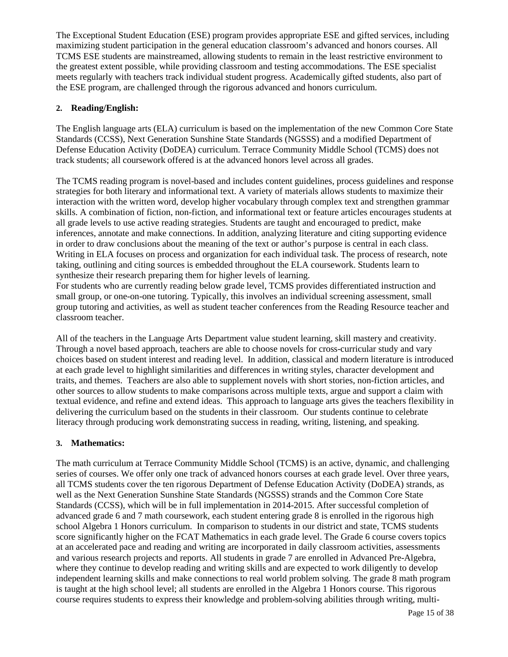The Exceptional Student Education (ESE) program provides appropriate ESE and gifted services, including maximizing student participation in the general education classroom's advanced and honors courses. All TCMS ESE students are mainstreamed, allowing students to remain in the least restrictive environment to the greatest extent possible, while providing classroom and testing accommodations. The ESE specialist meets regularly with teachers track individual student progress. Academically gifted students, also part of the ESE program, are challenged through the rigorous advanced and honors curriculum.

### **2. Reading/English:**

The English language arts (ELA) curriculum is based on the implementation of the new Common Core State Standards (CCSS), Next Generation Sunshine State Standards (NGSSS) and a modified Department of Defense Education Activity (DoDEA) curriculum. Terrace Community Middle School (TCMS) does not track students; all coursework offered is at the advanced honors level across all grades.

The TCMS reading program is novel-based and includes content guidelines, process guidelines and response strategies for both literary and informational text. A variety of materials allows students to maximize their interaction with the written word, develop higher vocabulary through complex text and strengthen grammar skills. A combination of fiction, non-fiction, and informational text or feature articles encourages students at all grade levels to use active reading strategies. Students are taught and encouraged to predict, make inferences, annotate and make connections. In addition, analyzing literature and citing supporting evidence in order to draw conclusions about the meaning of the text or author's purpose is central in each class. Writing in ELA focuses on process and organization for each individual task. The process of research, note taking, outlining and citing sources is embedded throughout the ELA coursework. Students learn to synthesize their research preparing them for higher levels of learning.

For students who are currently reading below grade level, TCMS provides differentiated instruction and small group, or one-on-one tutoring. Typically, this involves an individual screening assessment, small group tutoring and activities, as well as student teacher conferences from the Reading Resource teacher and classroom teacher.

All of the teachers in the Language Arts Department value student learning, skill mastery and creativity. Through a novel based approach, teachers are able to choose novels for cross-curricular study and vary choices based on student interest and reading level. In addition, classical and modern literature is introduced at each grade level to highlight similarities and differences in writing styles, character development and traits, and themes. Teachers are also able to supplement novels with short stories, non-fiction articles, and other sources to allow students to make comparisons across multiple texts, argue and support a claim with textual evidence, and refine and extend ideas. This approach to language arts gives the teachers flexibility in delivering the curriculum based on the students in their classroom. Our students continue to celebrate literacy through producing work demonstrating success in reading, writing, listening, and speaking.

### **3. Mathematics:**

The math curriculum at Terrace Community Middle School (TCMS) is an active, dynamic, and challenging series of courses. We offer only one track of advanced honors courses at each grade level. Over three years, all TCMS students cover the ten rigorous Department of Defense Education Activity (DoDEA) strands, as well as the Next Generation Sunshine State Standards (NGSSS) strands and the Common Core State Standards (CCSS), which will be in full implementation in 2014-2015. After successful completion of advanced grade 6 and 7 math coursework, each student entering grade 8 is enrolled in the rigorous high school Algebra 1 Honors curriculum. In comparison to students in our district and state, TCMS students score significantly higher on the FCAT Mathematics in each grade level. The Grade 6 course covers topics at an accelerated pace and reading and writing are incorporated in daily classroom activities, assessments and various research projects and reports. All students in grade 7 are enrolled in Advanced Pre-Algebra, where they continue to develop reading and writing skills and are expected to work diligently to develop independent learning skills and make connections to real world problem solving. The grade 8 math program is taught at the high school level; all students are enrolled in the Algebra 1 Honors course. This rigorous course requires students to express their knowledge and problem-solving abilities through writing, multi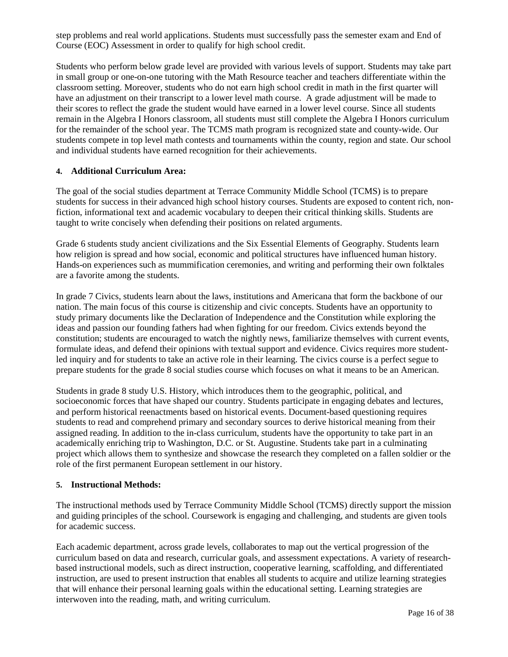step problems and real world applications. Students must successfully pass the semester exam and End of Course (EOC) Assessment in order to qualify for high school credit.

Students who perform below grade level are provided with various levels of support. Students may take part in small group or one-on-one tutoring with the Math Resource teacher and teachers differentiate within the classroom setting. Moreover, students who do not earn high school credit in math in the first quarter will have an adjustment on their transcript to a lower level math course. A grade adjustment will be made to their scores to reflect the grade the student would have earned in a lower level course. Since all students remain in the Algebra I Honors classroom, all students must still complete the Algebra I Honors curriculum for the remainder of the school year. The TCMS math program is recognized state and county-wide. Our students compete in top level math contests and tournaments within the county, region and state. Our school and individual students have earned recognition for their achievements.

### **4. Additional Curriculum Area:**

The goal of the social studies department at Terrace Community Middle School (TCMS) is to prepare students for success in their advanced high school history courses. Students are exposed to content rich, nonfiction, informational text and academic vocabulary to deepen their critical thinking skills. Students are taught to write concisely when defending their positions on related arguments.

Grade 6 students study ancient civilizations and the Six Essential Elements of Geography. Students learn how religion is spread and how social, economic and political structures have influenced human history. Hands-on experiences such as mummification ceremonies, and writing and performing their own folktales are a favorite among the students.

In grade 7 Civics, students learn about the laws, institutions and Americana that form the backbone of our nation. The main focus of this course is citizenship and civic concepts. Students have an opportunity to study primary documents like the Declaration of Independence and the Constitution while exploring the ideas and passion our founding fathers had when fighting for our freedom. Civics extends beyond the constitution; students are encouraged to watch the nightly news, familiarize themselves with current events, formulate ideas, and defend their opinions with textual support and evidence. Civics requires more studentled inquiry and for students to take an active role in their learning. The civics course is a perfect segue to prepare students for the grade 8 social studies course which focuses on what it means to be an American.

Students in grade 8 study U.S. History, which introduces them to the geographic, political, and socioeconomic forces that have shaped our country. Students participate in engaging debates and lectures, and perform historical reenactments based on historical events. Document-based questioning requires students to read and comprehend primary and secondary sources to derive historical meaning from their assigned reading. In addition to the in-class curriculum, students have the opportunity to take part in an academically enriching trip to Washington, D.C. or St. Augustine. Students take part in a culminating project which allows them to synthesize and showcase the research they completed on a fallen soldier or the role of the first permanent European settlement in our history.

#### **5. Instructional Methods:**

The instructional methods used by Terrace Community Middle School (TCMS) directly support the mission and guiding principles of the school. Coursework is engaging and challenging, and students are given tools for academic success.

Each academic department, across grade levels, collaborates to map out the vertical progression of the curriculum based on data and research, curricular goals, and assessment expectations. A variety of researchbased instructional models, such as direct instruction, cooperative learning, scaffolding, and differentiated instruction, are used to present instruction that enables all students to acquire and utilize learning strategies that will enhance their personal learning goals within the educational setting. Learning strategies are interwoven into the reading, math, and writing curriculum.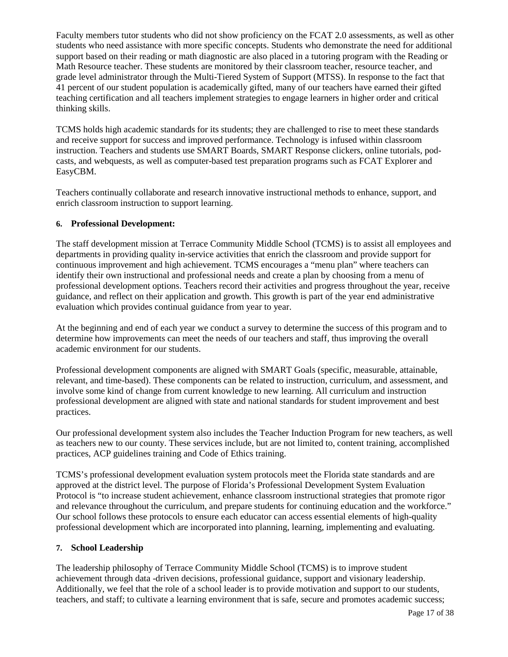Faculty members tutor students who did not show proficiency on the FCAT 2.0 assessments, as well as other students who need assistance with more specific concepts. Students who demonstrate the need for additional support based on their reading or math diagnostic are also placed in a tutoring program with the Reading or Math Resource teacher. These students are monitored by their classroom teacher, resource teacher, and grade level administrator through the Multi-Tiered System of Support (MTSS). In response to the fact that 41 percent of our student population is academically gifted, many of our teachers have earned their gifted teaching certification and all teachers implement strategies to engage learners in higher order and critical thinking skills.

TCMS holds high academic standards for its students; they are challenged to rise to meet these standards and receive support for success and improved performance. Technology is infused within classroom instruction. Teachers and students use SMART Boards, SMART Response clickers, online tutorials, podcasts, and webquests, as well as computer-based test preparation programs such as FCAT Explorer and EasyCBM.

Teachers continually collaborate and research innovative instructional methods to enhance, support, and enrich classroom instruction to support learning.

### **6. Professional Development:**

The staff development mission at Terrace Community Middle School (TCMS) is to assist all employees and departments in providing quality in-service activities that enrich the classroom and provide support for continuous improvement and high achievement. TCMS encourages a "menu plan" where teachers can identify their own instructional and professional needs and create a plan by choosing from a menu of professional development options. Teachers record their activities and progress throughout the year, receive guidance, and reflect on their application and growth. This growth is part of the year end administrative evaluation which provides continual guidance from year to year.

At the beginning and end of each year we conduct a survey to determine the success of this program and to determine how improvements can meet the needs of our teachers and staff, thus improving the overall academic environment for our students.

Professional development components are aligned with SMART Goals (specific, measurable, attainable, relevant, and time-based). These components can be related to instruction, curriculum, and assessment, and involve some kind of change from current knowledge to new learning. All curriculum and instruction professional development are aligned with state and national standards for student improvement and best practices.

Our professional development system also includes the Teacher Induction Program for new teachers, as well as teachers new to our county. These services include, but are not limited to, content training, accomplished practices, ACP guidelines training and Code of Ethics training.

TCMS's professional development evaluation system protocols meet the Florida state standards and are approved at the district level. The purpose of Florida's Professional Development System Evaluation Protocol is "to increase student achievement, enhance classroom instructional strategies that promote rigor and relevance throughout the curriculum, and prepare students for continuing education and the workforce." Our school follows these protocols to ensure each educator can access essential elements of high-quality professional development which are incorporated into planning, learning, implementing and evaluating.

### **7. School Leadership**

The leadership philosophy of Terrace Community Middle School (TCMS) is to improve student achievement through data -driven decisions, professional guidance, support and visionary leadership. Additionally, we feel that the role of a school leader is to provide motivation and support to our students, teachers, and staff; to cultivate a learning environment that is safe, secure and promotes academic success;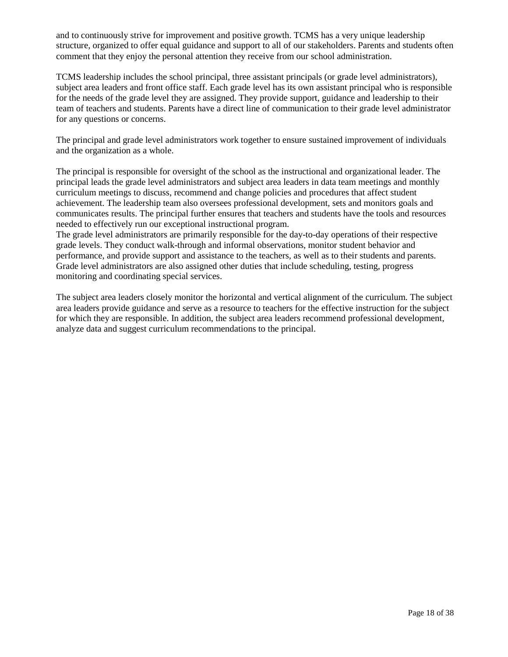and to continuously strive for improvement and positive growth. TCMS has a very unique leadership structure, organized to offer equal guidance and support to all of our stakeholders. Parents and students often comment that they enjoy the personal attention they receive from our school administration.

TCMS leadership includes the school principal, three assistant principals (or grade level administrators), subject area leaders and front office staff. Each grade level has its own assistant principal who is responsible for the needs of the grade level they are assigned. They provide support, guidance and leadership to their team of teachers and students. Parents have a direct line of communication to their grade level administrator for any questions or concerns.

The principal and grade level administrators work together to ensure sustained improvement of individuals and the organization as a whole.

The principal is responsible for oversight of the school as the instructional and organizational leader. The principal leads the grade level administrators and subject area leaders in data team meetings and monthly curriculum meetings to discuss, recommend and change policies and procedures that affect student achievement. The leadership team also oversees professional development, sets and monitors goals and communicates results. The principal further ensures that teachers and students have the tools and resources needed to effectively run our exceptional instructional program.

The grade level administrators are primarily responsible for the day-to-day operations of their respective grade levels. They conduct walk-through and informal observations, monitor student behavior and performance, and provide support and assistance to the teachers, as well as to their students and parents. Grade level administrators are also assigned other duties that include scheduling, testing, progress monitoring and coordinating special services.

The subject area leaders closely monitor the horizontal and vertical alignment of the curriculum. The subject area leaders provide guidance and serve as a resource to teachers for the effective instruction for the subject for which they are responsible. In addition, the subject area leaders recommend professional development, analyze data and suggest curriculum recommendations to the principal.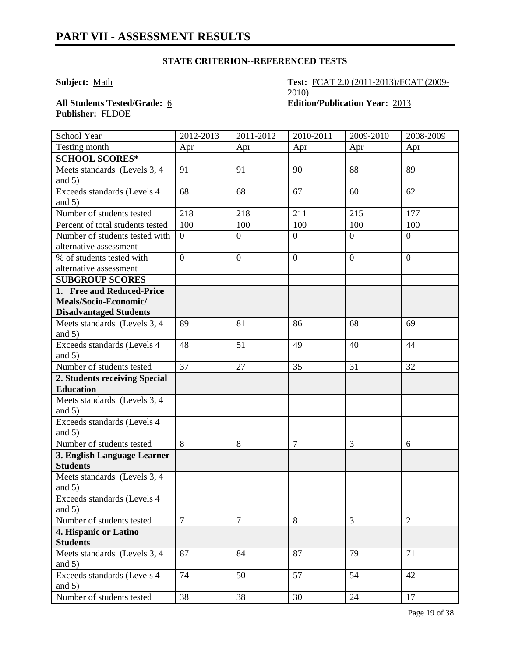### **STATE CRITERION--REFERENCED TESTS**

**Subject:** <u>Math</u> **Test: FCAT 2.0 (2011-2013)/FCAT (2009-**2010)

**Publisher:** FLDOE

**All Students Tested/Grade:** 6 **Edition/Publication Year:** 2013

| School Year                              | 2012-2013       | 2011-2012        | 2010-2011      | 2009-2010      | 2008-2009      |
|------------------------------------------|-----------------|------------------|----------------|----------------|----------------|
| Testing month                            | Apr             | Apr              | Apr            | Apr            | Apr            |
| <b>SCHOOL SCORES*</b>                    |                 |                  |                |                |                |
| Meets standards (Levels 3, 4             | 91              | 91               | 90             | 88             | 89             |
| and $5)$                                 |                 |                  |                |                |                |
| Exceeds standards (Levels 4              | 68              | 68               | 67             | 60             | 62             |
| and $5)$                                 |                 |                  |                |                |                |
| Number of students tested                | 218             | 218              | 211            | 215            | 177            |
| Percent of total students tested         | 100             | 100              | 100            | 100            | 100            |
| Number of students tested with           | $\overline{0}$  | $\boldsymbol{0}$ | $\overline{0}$ | $\overline{0}$ | $\overline{0}$ |
| alternative assessment                   |                 |                  |                |                |                |
| % of students tested with                | $\overline{0}$  | $\overline{0}$   | $\overline{0}$ | $\overline{0}$ | $\overline{0}$ |
| alternative assessment                   |                 |                  |                |                |                |
| <b>SUBGROUP SCORES</b>                   |                 |                  |                |                |                |
| 1. Free and Reduced-Price                |                 |                  |                |                |                |
| Meals/Socio-Economic/                    |                 |                  |                |                |                |
| <b>Disadvantaged Students</b>            |                 |                  |                |                |                |
| Meets standards (Levels 3, 4             | 89              | 81               | 86             | 68             | 69             |
| and $5)$                                 |                 |                  |                |                |                |
| Exceeds standards (Levels 4              | 48              | 51               | 49             | 40             | 44             |
| and $5)$                                 |                 |                  |                |                |                |
| Number of students tested                | $\overline{37}$ | 27               | 35             | 31             | 32             |
| 2. Students receiving Special            |                 |                  |                |                |                |
| <b>Education</b>                         |                 |                  |                |                |                |
| Meets standards (Levels 3, 4<br>and $5)$ |                 |                  |                |                |                |
| Exceeds standards (Levels 4              |                 |                  |                |                |                |
| and $5)$                                 |                 |                  |                |                |                |
| Number of students tested                | 8               | 8                | $\overline{7}$ | $\overline{3}$ | 6              |
| 3. English Language Learner              |                 |                  |                |                |                |
| <b>Students</b>                          |                 |                  |                |                |                |
| Meets standards (Levels 3, 4<br>and $5)$ |                 |                  |                |                |                |
| Exceeds standards (Levels 4              |                 |                  |                |                |                |
| and $5)$                                 |                 |                  |                |                |                |
| Number of students tested                | $\overline{7}$  | $\overline{7}$   | 8              | 3              | $\overline{2}$ |
| 4. Hispanic or Latino                    |                 |                  |                |                |                |
| <b>Students</b>                          |                 |                  |                |                |                |
| Meets standards (Levels 3, 4             | 87              | 84               | 87             | 79             | 71             |
| and $5)$                                 |                 |                  |                |                |                |
| Exceeds standards (Levels 4              | 74              | 50               | 57             | 54             | 42             |
| and $5)$                                 |                 |                  |                |                |                |
| Number of students tested                | 38              | 38               | 30             | 24             | 17             |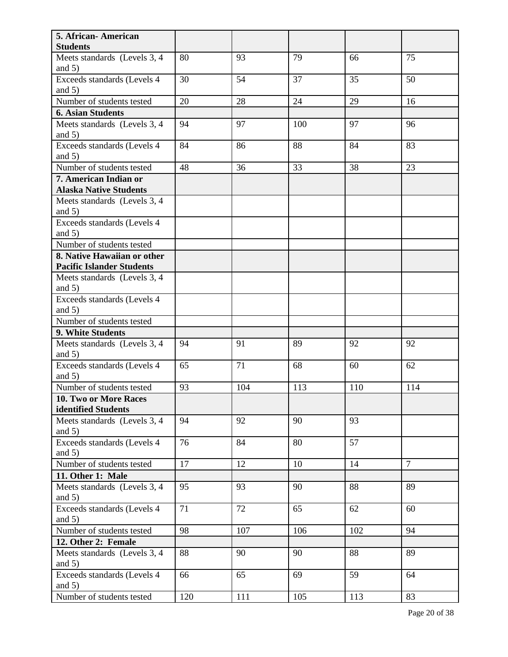| 5. African-American<br><b>Students</b>  |     |     |     |     |                |
|-----------------------------------------|-----|-----|-----|-----|----------------|
| Meets standards (Levels 3, 4            | 80  | 93  | 79  | 66  | 75             |
| and $5)$                                |     |     |     |     |                |
| Exceeds standards (Levels 4             | 30  | 54  | 37  | 35  | 50             |
| and $5)$                                |     |     |     |     |                |
| Number of students tested               | 20  | 28  | 24  | 29  | 16             |
| <b>6. Asian Students</b>                |     |     |     |     |                |
| Meets standards (Levels 3, 4            | 94  | 97  | 100 | 97  | 96             |
| and $5)$                                |     |     |     |     |                |
| Exceeds standards (Levels 4             | 84  | 86  | 88  | 84  | 83             |
| and $5)$                                |     |     |     |     |                |
| Number of students tested               | 48  | 36  | 33  | 38  | 23             |
| 7. American Indian or                   |     |     |     |     |                |
| <b>Alaska Native Students</b>           |     |     |     |     |                |
| Meets standards (Levels 3, 4            |     |     |     |     |                |
| and $5)$                                |     |     |     |     |                |
| Exceeds standards (Levels 4             |     |     |     |     |                |
| and $5)$                                |     |     |     |     |                |
| Number of students tested               |     |     |     |     |                |
| 8. Native Hawaiian or other             |     |     |     |     |                |
| <b>Pacific Islander Students</b>        |     |     |     |     |                |
| Meets standards (Levels 3, 4)           |     |     |     |     |                |
| and $5)$                                |     |     |     |     |                |
| Exceeds standards (Levels 4             |     |     |     |     |                |
| and $5)$                                |     |     |     |     |                |
| Number of students tested               |     |     |     |     |                |
| 9. White Students                       |     |     |     |     |                |
| Meets standards (Levels 3, 4            | 94  | 91  | 89  | 92  | 92             |
| and $5)$                                |     |     |     |     |                |
| Exceeds standards (Levels 4             | 65  | 71  | 68  | 60  | 62             |
| and $5)$                                |     |     |     |     |                |
| Number of students tested               | 93  | 104 | 113 | 110 | 114            |
| 10. Two or More Races                   |     |     |     |     |                |
| identified Students                     |     |     |     |     |                |
| Meets standards (Levels 3, 4            | 94  | 92  | 90  | 93  |                |
| and $5)$<br>Exceeds standards (Levels 4 | 76  | 84  | 80  | 57  |                |
| and $5)$                                |     |     |     |     |                |
| Number of students tested               | 17  | 12  | 10  | 14  | $\overline{7}$ |
| 11. Other 1: Male                       |     |     |     |     |                |
| Meets standards (Levels 3, 4            | 95  | 93  | 90  | 88  | 89             |
| and $5)$                                |     |     |     |     |                |
| Exceeds standards (Levels 4             | 71  | 72  | 65  | 62  | 60             |
| and $5)$                                |     |     |     |     |                |
| Number of students tested               | 98  | 107 | 106 | 102 | 94             |
| 12. Other 2: Female                     |     |     |     |     |                |
| Meets standards (Levels 3, 4            | 88  | 90  | 90  | 88  | 89             |
| and $5)$                                |     |     |     |     |                |
| Exceeds standards (Levels 4             | 66  | 65  | 69  | 59  | 64             |
| and $5)$                                |     |     |     |     |                |
| Number of students tested               | 120 | 111 | 105 | 113 | 83             |
|                                         |     |     |     |     |                |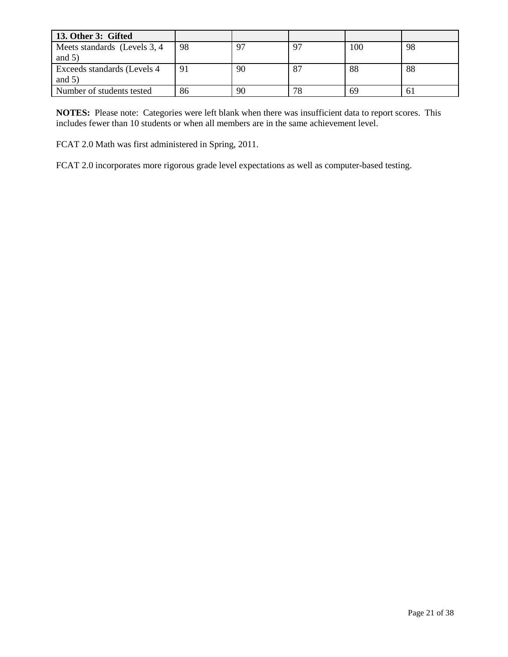| 13. Other 3: Gifted           |    |    |    |     |    |
|-------------------------------|----|----|----|-----|----|
| Meets standards (Levels 3, 4) | 98 | 97 |    | 100 | 98 |
| and $5)$                      |    |    |    |     |    |
| Exceeds standards (Levels 4)  | 91 | 90 | 87 | 88  | 88 |
| and $5)$                      |    |    |    |     |    |
| Number of students tested     | 86 | 90 | 78 | 69  | 61 |

**NOTES:** Please note: Categories were left blank when there was insufficient data to report scores. This includes fewer than 10 students or when all members are in the same achievement level.

FCAT 2.0 Math was first administered in Spring, 2011.

FCAT 2.0 incorporates more rigorous grade level expectations as well as computer-based testing.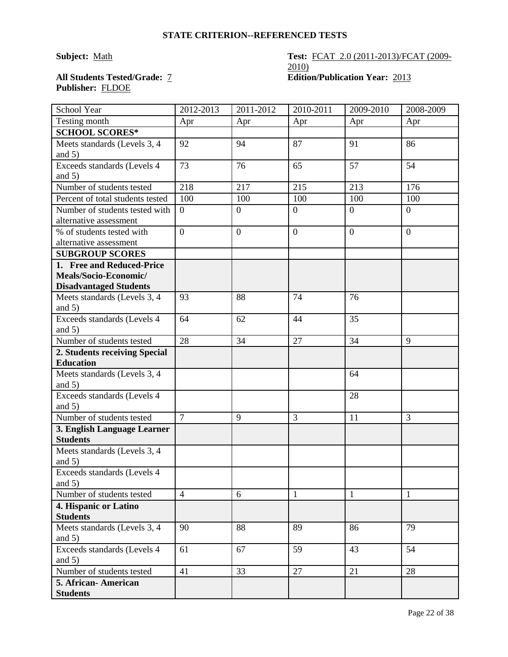### **Subject:** <u>Math</u> **Test: FCAT 2.0 (2011-2013)/FCAT (2009-**2010) **All Students Tested/Grade:** 7 **Edition/Publication Year:** 2013

# **Publisher:** FLDOE

| School Year                                                                                                                                                                                                                                                                                | 2012-2013                        | 2011-2012           | 2010-2011                | 2009-2010                      | 2008-2009                      |
|--------------------------------------------------------------------------------------------------------------------------------------------------------------------------------------------------------------------------------------------------------------------------------------------|----------------------------------|---------------------|--------------------------|--------------------------------|--------------------------------|
| Testing month                                                                                                                                                                                                                                                                              | Apr                              | Apr                 | Apr                      | Apr                            | Apr                            |
| <b>SCHOOL SCORES*</b>                                                                                                                                                                                                                                                                      |                                  |                     |                          |                                |                                |
| Meets standards (Levels 3, 4                                                                                                                                                                                                                                                               | 92                               | 94                  | 87                       | 91                             | 86                             |
| and $5)$                                                                                                                                                                                                                                                                                   |                                  |                     |                          |                                |                                |
| Exceeds standards (Levels 4                                                                                                                                                                                                                                                                | 73                               | 76                  | 65                       | 57                             | 54                             |
| and $5)$                                                                                                                                                                                                                                                                                   |                                  |                     |                          |                                |                                |
| Number of students tested                                                                                                                                                                                                                                                                  | 218                              | 217                 | 215                      | 213                            | 176                            |
| Percent of total students tested                                                                                                                                                                                                                                                           | 100                              | 100                 | 100                      | 100                            | 100                            |
| Number of students tested with                                                                                                                                                                                                                                                             | $\overline{0}$                   | $\overline{0}$      | $\boldsymbol{0}$         | $\boldsymbol{0}$               | $\overline{0}$                 |
| alternative assessment                                                                                                                                                                                                                                                                     |                                  |                     |                          |                                |                                |
| % of students tested with                                                                                                                                                                                                                                                                  | $\overline{0}$                   | $\boldsymbol{0}$    | $\overline{0}$           | $\overline{0}$                 | $\overline{0}$                 |
| alternative assessment                                                                                                                                                                                                                                                                     |                                  |                     |                          |                                |                                |
| <b>SUBGROUP SCORES</b>                                                                                                                                                                                                                                                                     |                                  |                     |                          |                                |                                |
| 1. Free and Reduced-Price                                                                                                                                                                                                                                                                  |                                  |                     |                          |                                |                                |
| Meals/Socio-Economic/                                                                                                                                                                                                                                                                      |                                  |                     |                          |                                |                                |
| <b>Disadvantaged Students</b>                                                                                                                                                                                                                                                              |                                  |                     |                          |                                |                                |
| Meets standards (Levels 3, 4                                                                                                                                                                                                                                                               | 93                               | 88                  | 74                       | 76                             |                                |
| and $5)$                                                                                                                                                                                                                                                                                   |                                  |                     |                          |                                |                                |
| Exceeds standards (Levels 4                                                                                                                                                                                                                                                                | 64                               | 62                  | 44                       | 35                             |                                |
| and $5)$                                                                                                                                                                                                                                                                                   |                                  |                     |                          |                                |                                |
| Number of students tested                                                                                                                                                                                                                                                                  | 28                               | 34                  | 27                       | 34                             | 9                              |
| 2. Students receiving Special                                                                                                                                                                                                                                                              |                                  |                     |                          |                                |                                |
| <b>Education</b>                                                                                                                                                                                                                                                                           |                                  |                     |                          |                                |                                |
| Meets standards (Levels 3, 4                                                                                                                                                                                                                                                               |                                  |                     |                          | 64                             |                                |
| and $5)$                                                                                                                                                                                                                                                                                   |                                  |                     |                          |                                |                                |
| Exceeds standards (Levels 4                                                                                                                                                                                                                                                                |                                  |                     |                          | 28                             |                                |
| and $5)$                                                                                                                                                                                                                                                                                   |                                  |                     |                          |                                |                                |
| Number of students tested                                                                                                                                                                                                                                                                  | $\overline{7}$                   | 9                   | 3                        | 11                             | 3                              |
| 3. English Language Learner                                                                                                                                                                                                                                                                |                                  |                     |                          |                                |                                |
| <b>Students</b>                                                                                                                                                                                                                                                                            |                                  |                     |                          |                                |                                |
| Meets standards (Levels 3, 4                                                                                                                                                                                                                                                               |                                  |                     |                          |                                |                                |
|                                                                                                                                                                                                                                                                                            |                                  |                     |                          |                                |                                |
|                                                                                                                                                                                                                                                                                            |                                  |                     |                          |                                |                                |
|                                                                                                                                                                                                                                                                                            |                                  |                     |                          |                                |                                |
|                                                                                                                                                                                                                                                                                            |                                  |                     |                          |                                |                                |
|                                                                                                                                                                                                                                                                                            |                                  |                     |                          |                                |                                |
|                                                                                                                                                                                                                                                                                            |                                  |                     |                          |                                |                                |
|                                                                                                                                                                                                                                                                                            |                                  |                     |                          |                                |                                |
|                                                                                                                                                                                                                                                                                            |                                  |                     |                          |                                |                                |
|                                                                                                                                                                                                                                                                                            |                                  |                     |                          |                                |                                |
|                                                                                                                                                                                                                                                                                            |                                  |                     | 27                       |                                |                                |
|                                                                                                                                                                                                                                                                                            |                                  |                     |                          |                                |                                |
|                                                                                                                                                                                                                                                                                            |                                  |                     |                          |                                |                                |
| and $5)$<br>Exceeds standards (Levels 4<br>and $5)$<br>Number of students tested<br>4. Hispanic or Latino<br><b>Students</b><br>Meets standards (Levels 3, 4<br>and $5)$<br>Exceeds standards (Levels 4<br>and $5)$<br>Number of students tested<br>5. African-American<br><b>Students</b> | $\overline{4}$<br>90<br>61<br>41 | 6<br>88<br>67<br>33 | $\mathbf{1}$<br>89<br>59 | $\mathbf{1}$<br>86<br>43<br>21 | $\mathbf{1}$<br>79<br>54<br>28 |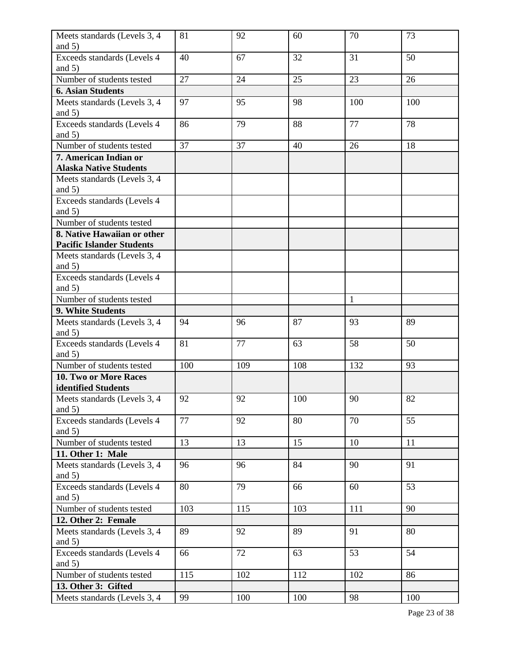| Meets standards (Levels 3, 4                           | 81  | 92  | 60  | 70           | 73  |
|--------------------------------------------------------|-----|-----|-----|--------------|-----|
| and $5)$                                               |     |     |     |              |     |
| Exceeds standards (Levels 4<br>and $5)$                | 40  | 67  | 32  | 31           | 50  |
| Number of students tested                              | 27  | 24  | 25  | 23           | 26  |
| <b>6. Asian Students</b>                               |     |     |     |              |     |
| Meets standards (Levels 3, 4                           | 97  | 95  | 98  | 100          | 100 |
| and $5)$                                               |     |     |     |              |     |
| Exceeds standards (Levels 4                            | 86  | 79  | 88  | 77           | 78  |
| and $5)$                                               |     |     |     |              |     |
| Number of students tested                              | 37  | 37  | 40  | 26           | 18  |
| 7. American Indian or<br><b>Alaska Native Students</b> |     |     |     |              |     |
| Meets standards (Levels 3, 4                           |     |     |     |              |     |
| and $5)$                                               |     |     |     |              |     |
| Exceeds standards (Levels 4                            |     |     |     |              |     |
| and $5)$                                               |     |     |     |              |     |
| Number of students tested                              |     |     |     |              |     |
| 8. Native Hawaiian or other                            |     |     |     |              |     |
| <b>Pacific Islander Students</b>                       |     |     |     |              |     |
| Meets standards (Levels 3, 4                           |     |     |     |              |     |
| and $5)$                                               |     |     |     |              |     |
| Exceeds standards (Levels 4                            |     |     |     |              |     |
| and $5)$                                               |     |     |     |              |     |
| Number of students tested                              |     |     |     | $\mathbf{1}$ |     |
| 9. White Students                                      |     |     |     |              |     |
| Meets standards (Levels 3, 4                           | 94  | 96  | 87  | 93           | 89  |
| and $5)$                                               |     |     |     |              |     |
| Exceeds standards (Levels 4                            | 81  | 77  | 63  | 58           | 50  |
| and $5)$                                               |     |     |     |              |     |
| Number of students tested                              | 100 | 109 | 108 | 132          | 93  |
| <b>10. Two or More Races</b>                           |     |     |     |              |     |
| identified Students                                    |     |     |     |              |     |
| Meets standards (Levels 3, 4<br>and $5)$               | 92  | 92  | 100 | 90           | 82  |
| Exceeds standards (Levels 4                            | 77  | 92  | 80  | 70           | 55  |
| and $5)$                                               |     |     |     |              |     |
| Number of students tested                              | 13  | 13  | 15  | 10           | 11  |
| 11. Other 1: Male                                      |     |     |     |              |     |
| Meets standards (Levels 3, 4                           | 96  | 96  | 84  | 90           | 91  |
| and $5)$<br>Exceeds standards (Levels 4                | 80  | 79  | 66  | 60           | 53  |
| and $5)$                                               |     |     |     |              |     |
| Number of students tested                              | 103 | 115 | 103 | 111          | 90  |
| 12. Other 2: Female                                    |     |     |     |              |     |
|                                                        |     |     | 89  | 91           | 80  |
| Meets standards (Levels 3, 4<br>and $5)$               | 89  | 92  |     |              |     |
| Exceeds standards (Levels 4                            | 66  | 72  | 63  | 53           | 54  |
| and $5)$                                               |     |     |     |              |     |
| Number of students tested                              | 115 | 102 | 112 | 102          | 86  |
| 13. Other 3: Gifted                                    |     |     |     |              |     |
| Meets standards (Levels 3, 4                           | 99  | 100 | 100 | 98           | 100 |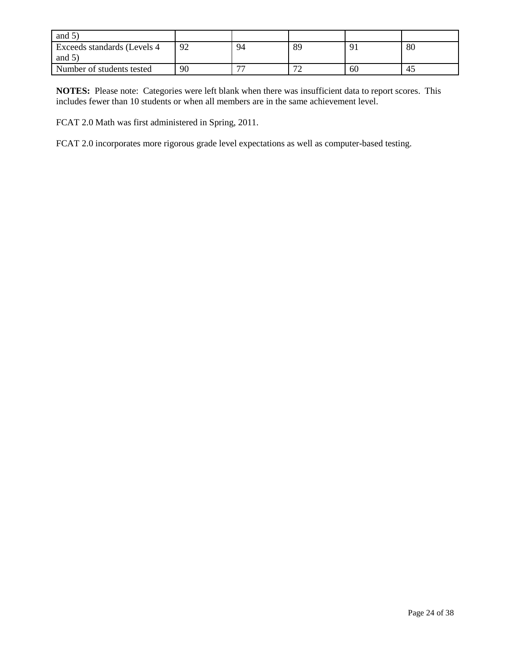| and $5$                      |    |                          |                               |    |    |
|------------------------------|----|--------------------------|-------------------------------|----|----|
| Exceeds standards (Levels 4) | 92 | 94                       | 89                            | O. | 80 |
| and $5^{\circ}$              |    |                          |                               |    |    |
| Number of students tested    | 90 | $\overline{\phantom{a}}$ | $\overline{\phantom{a}}$<br>∼ | 60 | 45 |

**NOTES:** Please note: Categories were left blank when there was insufficient data to report scores. This includes fewer than 10 students or when all members are in the same achievement level.

FCAT 2.0 Math was first administered in Spring, 2011.

FCAT 2.0 incorporates more rigorous grade level expectations as well as computer-based testing.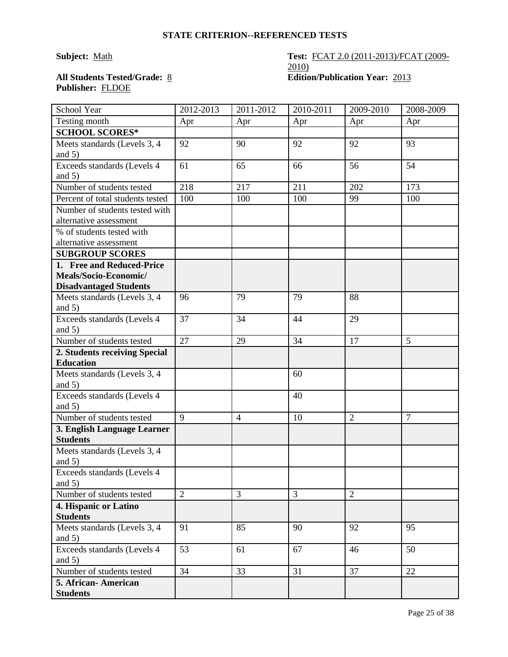### **STATE CRITERION--REFERENCED TESTS**

### **Subject:** <u>Math</u> **Test: FCAT 2.0 (2011-2013)/FCAT (2009-**2010) **All Students Tested/Grade:** 8 **Edition/Publication Year:** 2013

# **Publisher:** FLDOE

| School Year                           | 2012-2013      | 2011-2012      | 2010-2011 | 2009-2010      | 2008-2009      |
|---------------------------------------|----------------|----------------|-----------|----------------|----------------|
| Testing month                         | Apr            | Apr            | Apr       | Apr            | Apr            |
| <b>SCHOOL SCORES*</b>                 |                |                |           |                |                |
| Meets standards (Levels 3, 4          | 92             | 90             | 92        | 92             | 93             |
| and $5)$                              |                |                |           |                |                |
| Exceeds standards (Levels 4           | 61             | 65             | 66        | 56             | 54             |
| and $5)$                              |                |                |           |                |                |
| Number of students tested             | 218            | 217            | 211       | 202            | 173            |
| Percent of total students tested      | 100            | 100            | 100       | 99             | 100            |
| Number of students tested with        |                |                |           |                |                |
| alternative assessment                |                |                |           |                |                |
| $\frac{9}{6}$ of students tested with |                |                |           |                |                |
| alternative assessment                |                |                |           |                |                |
| <b>SUBGROUP SCORES</b>                |                |                |           |                |                |
| 1. Free and Reduced-Price             |                |                |           |                |                |
| Meals/Socio-Economic/                 |                |                |           |                |                |
| <b>Disadvantaged Students</b>         |                |                |           |                |                |
| Meets standards (Levels 3, 4          | 96             | 79             | 79        | 88             |                |
| and $5)$                              |                |                |           |                |                |
| Exceeds standards (Levels 4           | 37             | 34             | 44        | 29             |                |
| and $5)$                              |                |                |           |                |                |
| Number of students tested             | 27             | 29             | 34        | 17             | 5              |
| 2. Students receiving Special         |                |                |           |                |                |
| <b>Education</b>                      |                |                |           |                |                |
| Meets standards (Levels 3, 4          |                |                | 60        |                |                |
| and $5)$                              |                |                |           |                |                |
| Exceeds standards (Levels 4           |                |                | 40        |                |                |
| and $5)$                              |                |                |           |                |                |
| Number of students tested             | 9              | $\overline{4}$ | 10        | $\overline{2}$ | $\overline{7}$ |
| 3. English Language Learner           |                |                |           |                |                |
| <b>Students</b>                       |                |                |           |                |                |
| Meets standards (Levels 3, 4          |                |                |           |                |                |
| and $5)$                              |                |                |           |                |                |
| Exceeds standards (Levels 4           |                |                |           |                |                |
| and $5)$                              |                |                |           |                |                |
| Number of students tested             | $\overline{2}$ | 3              | 3         | $\overline{2}$ |                |
| 4. Hispanic or Latino                 |                |                |           |                |                |
| <b>Students</b>                       |                |                |           |                |                |
| Meets standards (Levels 3, 4          | 91             | 85             | 90        | 92             | 95             |
| and $5)$                              |                |                |           |                |                |
| Exceeds standards (Levels 4           | 53             | 61             | 67        | 46             | 50             |
| and $5)$                              |                |                |           |                |                |
| Number of students tested             | 34             | 33             | 31        | 37             | 22             |
| 5. African- American                  |                |                |           |                |                |
| <b>Students</b>                       |                |                |           |                |                |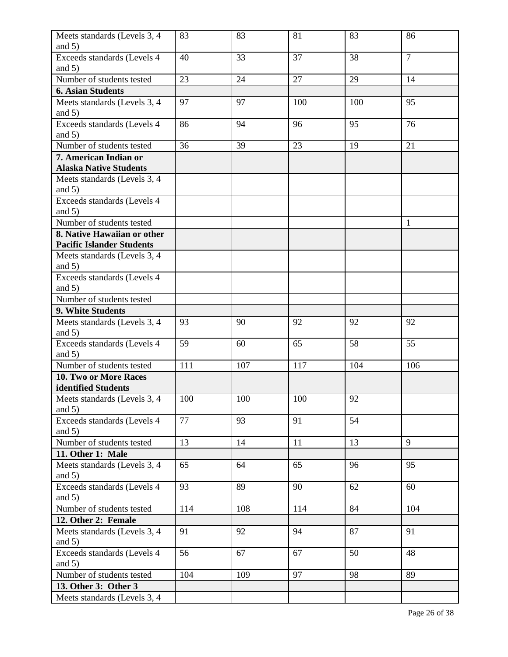| Meets standards (Levels 3, 4            | 83  | 83  | 81  | 83  | 86             |
|-----------------------------------------|-----|-----|-----|-----|----------------|
| and $5)$                                |     |     |     |     |                |
| Exceeds standards (Levels 4<br>and $5)$ | 40  | 33  | 37  | 38  | $\overline{7}$ |
| Number of students tested               | 23  | 24  | 27  | 29  | 14             |
| <b>6. Asian Students</b>                |     |     |     |     |                |
| Meets standards (Levels 3, 4            | 97  | 97  | 100 | 100 | 95             |
| and $5)$                                |     |     |     |     |                |
| Exceeds standards (Levels 4             | 86  | 94  | 96  | 95  | 76             |
| and $5)$                                |     |     |     |     |                |
| Number of students tested               | 36  | 39  | 23  | 19  | 21             |
| 7. American Indian or                   |     |     |     |     |                |
| <b>Alaska Native Students</b>           |     |     |     |     |                |
| Meets standards (Levels 3, 4            |     |     |     |     |                |
| and $5)$                                |     |     |     |     |                |
| Exceeds standards (Levels 4             |     |     |     |     |                |
| and $5)$                                |     |     |     |     |                |
| Number of students tested               |     |     |     |     | 1              |
| 8. Native Hawaiian or other             |     |     |     |     |                |
| <b>Pacific Islander Students</b>        |     |     |     |     |                |
| Meets standards (Levels 3, 4            |     |     |     |     |                |
| and $5)$                                |     |     |     |     |                |
| Exceeds standards (Levels 4             |     |     |     |     |                |
| and $5)$                                |     |     |     |     |                |
| Number of students tested               |     |     |     |     |                |
| 9. White Students                       |     |     |     |     |                |
| Meets standards (Levels 3, 4            | 93  | 90  | 92  | 92  | 92             |
| and $5)$                                |     |     |     |     |                |
| Exceeds standards (Levels 4             | 59  | 60  | 65  | 58  | 55             |
| and $5)$                                |     |     |     |     |                |
| Number of students tested               | 111 | 107 | 117 | 104 | 106            |
| <b>10. Two or More Races</b>            |     |     |     |     |                |
| identified Students                     |     |     |     |     |                |
| Meets standards (Levels 3, 4            | 100 | 100 | 100 | 92  |                |
| and $5)$                                |     |     |     |     |                |
| Exceeds standards (Levels 4             | 77  | 93  | 91  | 54  |                |
| and $5)$                                |     |     |     |     |                |
| Number of students tested               | 13  | 14  | 11  | 13  | 9              |
| 11. Other 1: Male                       |     |     |     |     |                |
| Meets standards (Levels 3, 4            | 65  | 64  | 65  | 96  | 95             |
| and $5)$                                |     |     |     |     |                |
| Exceeds standards (Levels 4             | 93  | 89  | 90  | 62  | 60             |
| and $5)$                                |     |     |     |     |                |
| Number of students tested               | 114 | 108 | 114 | 84  | 104            |
| 12. Other 2: Female                     |     |     |     |     |                |
| Meets standards (Levels 3, 4            | 91  | 92  | 94  | 87  | 91             |
| and $5)$                                |     |     |     |     |                |
| Exceeds standards (Levels 4             | 56  | 67  | 67  | 50  | 48             |
| and $5)$                                |     |     |     |     |                |
| Number of students tested               | 104 | 109 | 97  | 98  | 89             |
| 13. Other 3: Other 3                    |     |     |     |     |                |
| Meets standards (Levels 3, 4            |     |     |     |     |                |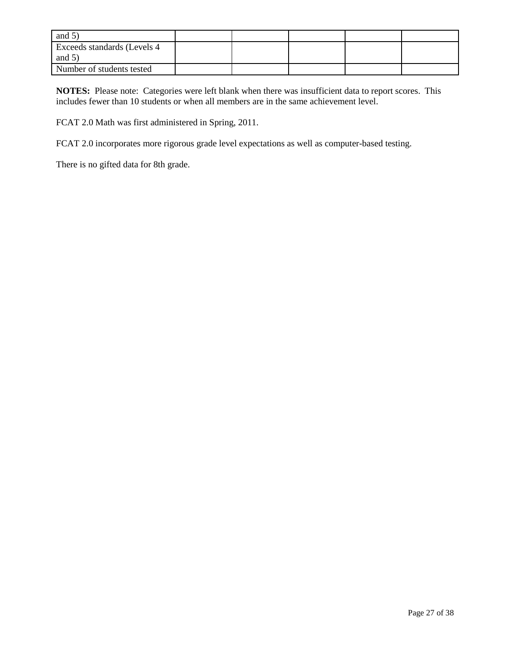| and $5)$                                 |  |  |  |
|------------------------------------------|--|--|--|
| Exceeds standards (Levels 4)<br>and $5)$ |  |  |  |
| Number of students tested                |  |  |  |

**NOTES:** Please note: Categories were left blank when there was insufficient data to report scores. This includes fewer than 10 students or when all members are in the same achievement level.

FCAT 2.0 Math was first administered in Spring, 2011.

FCAT 2.0 incorporates more rigorous grade level expectations as well as computer-based testing.

There is no gifted data for 8th grade.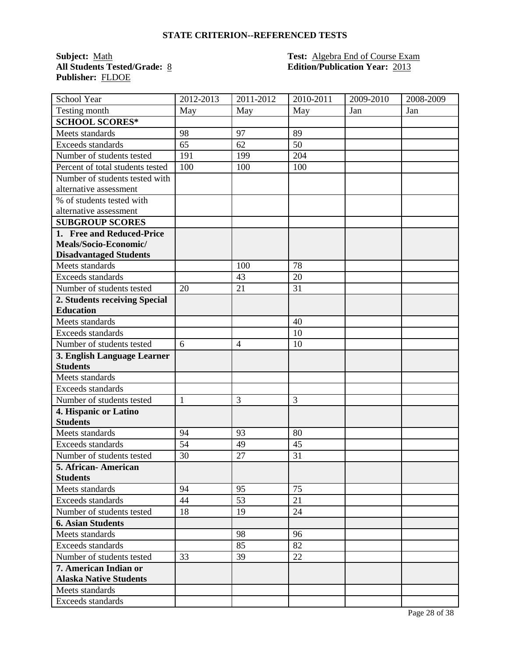### **STATE CRITERION--REFERENCED TESTS**

**Publisher:** FLDOE

### **Subject:** <u>Math **Test:** Algebra End of Course Exam</u><br> **All Students Tested/Grade:** <u>8</u> **Test: Algebra End of Course Exam**<br> **Edition/Publication Year:** 2013 **All Students Tested/Grade:** 8 **Edition/Publication Year:** 2013

| School Year                      | 2012-2013    | 2011-2012      | 2010-2011 | 2009-2010 | 2008-2009 |
|----------------------------------|--------------|----------------|-----------|-----------|-----------|
| Testing month                    | May          | May            | May       | Jan       | Jan       |
| <b>SCHOOL SCORES*</b>            |              |                |           |           |           |
| Meets standards                  | 98           | 97             | 89        |           |           |
| Exceeds standards                | 65           | 62             | 50        |           |           |
| Number of students tested        | 191          | 199            | 204       |           |           |
| Percent of total students tested | 100          | 100            | 100       |           |           |
| Number of students tested with   |              |                |           |           |           |
| alternative assessment           |              |                |           |           |           |
| % of students tested with        |              |                |           |           |           |
| alternative assessment           |              |                |           |           |           |
| <b>SUBGROUP SCORES</b>           |              |                |           |           |           |
| 1. Free and Reduced-Price        |              |                |           |           |           |
| Meals/Socio-Economic/            |              |                |           |           |           |
| <b>Disadvantaged Students</b>    |              |                |           |           |           |
| Meets standards                  |              | 100            | 78        |           |           |
| Exceeds standards                |              | 43             | 20        |           |           |
| Number of students tested        | 20           | 21             | 31        |           |           |
| 2. Students receiving Special    |              |                |           |           |           |
| <b>Education</b>                 |              |                |           |           |           |
| Meets standards                  |              |                | 40        |           |           |
| Exceeds standards                |              |                | 10        |           |           |
| Number of students tested        | 6            | $\overline{4}$ | 10        |           |           |
| 3. English Language Learner      |              |                |           |           |           |
| <b>Students</b>                  |              |                |           |           |           |
| Meets standards                  |              |                |           |           |           |
| Exceeds standards                |              |                |           |           |           |
| Number of students tested        | $\mathbf{1}$ | 3              | 3         |           |           |
| 4. Hispanic or Latino            |              |                |           |           |           |
| <b>Students</b>                  |              |                |           |           |           |
| Meets standards                  | 94           | 93             | 80        |           |           |
| Exceeds standards                | 54           | 49             | 45        |           |           |
| Number of students tested        | 30           | 27             | 31        |           |           |
| 5. African- American             |              |                |           |           |           |
| <b>Students</b>                  |              |                |           |           |           |
| Meets standards                  | 94           | 95             | 75        |           |           |
| Exceeds standards                | 44           | 53             | 21        |           |           |
| Number of students tested        | 18           | 19             | 24        |           |           |
| <b>6. Asian Students</b>         |              |                |           |           |           |
| Meets standards                  |              | 98             | 96        |           |           |
| Exceeds standards                |              | 85             | 82        |           |           |
| Number of students tested        | 33           | 39             | 22        |           |           |
| 7. American Indian or            |              |                |           |           |           |
| <b>Alaska Native Students</b>    |              |                |           |           |           |
| Meets standards                  |              |                |           |           |           |
| Exceeds standards                |              |                |           |           |           |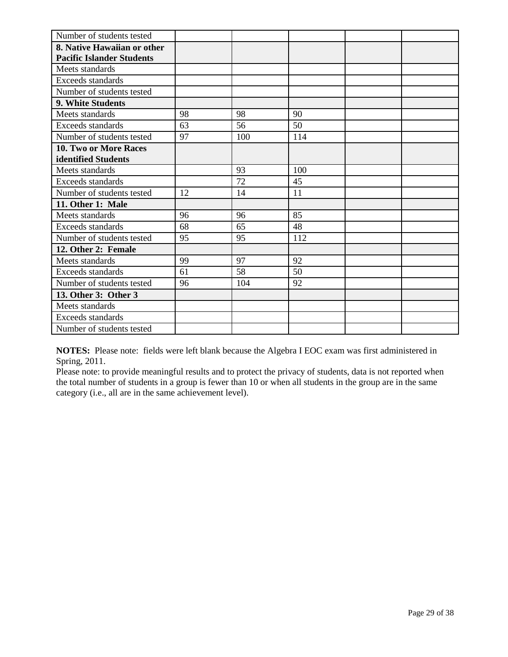| Number of students tested        |    |     |     |  |
|----------------------------------|----|-----|-----|--|
| 8. Native Hawaiian or other      |    |     |     |  |
| <b>Pacific Islander Students</b> |    |     |     |  |
| Meets standards                  |    |     |     |  |
| Exceeds standards                |    |     |     |  |
| Number of students tested        |    |     |     |  |
| 9. White Students                |    |     |     |  |
| Meets standards                  | 98 | 98  | 90  |  |
| Exceeds standards                | 63 | 56  | 50  |  |
| Number of students tested        | 97 | 100 | 114 |  |
| 10. Two or More Races            |    |     |     |  |
| identified Students              |    |     |     |  |
| Meets standards                  |    | 93  | 100 |  |
| Exceeds standards                |    | 72  | 45  |  |
| Number of students tested        | 12 | 14  | 11  |  |
| 11. Other 1: Male                |    |     |     |  |
| Meets standards                  | 96 | 96  | 85  |  |
| Exceeds standards                | 68 | 65  | 48  |  |
| Number of students tested        | 95 | 95  | 112 |  |
| 12. Other 2: Female              |    |     |     |  |
| Meets standards                  | 99 | 97  | 92  |  |
| Exceeds standards                | 61 | 58  | 50  |  |
| Number of students tested        | 96 | 104 | 92  |  |
| 13. Other 3: Other 3             |    |     |     |  |
| Meets standards                  |    |     |     |  |
| Exceeds standards                |    |     |     |  |
| Number of students tested        |    |     |     |  |

**NOTES:** Please note: fields were left blank because the Algebra I EOC exam was first administered in Spring, 2011.

Please note: to provide meaningful results and to protect the privacy of students, data is not reported when the total number of students in a group is fewer than 10 or when all students in the group are in the same category (i.e., all are in the same achievement level).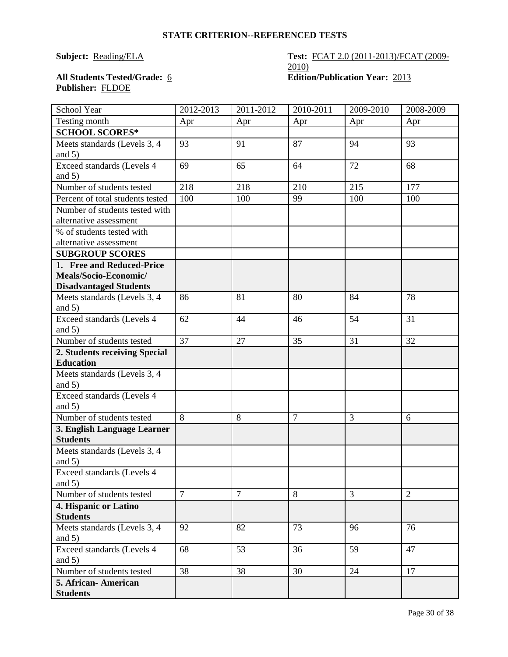### **STATE CRITERION--REFERENCED TESTS**

### **Subject:** <u>Reading/ELA</u> **Test: FCAT 2.0 (2011-2013)/FCAT (2009-**2010) All Students Tested/Grade: 6 **Edition/Publication Year:** 2013

# **Publisher:** FLDOE

| School Year                              | 2012-2013      | 2011-2012 | 2010-2011      | 2009-2010      | 2008-2009      |
|------------------------------------------|----------------|-----------|----------------|----------------|----------------|
| Testing month                            | Apr            | Apr       | Apr            | Apr            | Apr            |
| <b>SCHOOL SCORES*</b>                    |                |           |                |                |                |
| Meets standards (Levels 3, 4             | 93             | 91        | 87             | 94             | 93             |
| and $5)$                                 |                |           |                |                |                |
| Exceed standards (Levels 4               | 69             | 65        | 64             | 72             | 68             |
| and $5)$                                 |                |           |                |                |                |
| Number of students tested                | 218            | 218       | 210            | 215            | 177            |
| Percent of total students tested         | 100            | 100       | 99             | 100            | 100            |
| Number of students tested with           |                |           |                |                |                |
| alternative assessment                   |                |           |                |                |                |
| % of students tested with                |                |           |                |                |                |
| alternative assessment                   |                |           |                |                |                |
| <b>SUBGROUP SCORES</b>                   |                |           |                |                |                |
| 1. Free and Reduced-Price                |                |           |                |                |                |
| Meals/Socio-Economic/                    |                |           |                |                |                |
| <b>Disadvantaged Students</b>            |                |           |                |                |                |
| Meets standards (Levels 3, 4             | 86             | 81        | 80             | 84             | 78             |
| and $5)$                                 |                |           |                |                |                |
| Exceed standards (Levels 4               | 62             | 44        | 46             | 54             | 31             |
| and $5)$                                 |                |           |                |                |                |
| Number of students tested                | 37             | 27        | 35             | 31             | 32             |
| 2. Students receiving Special            |                |           |                |                |                |
| <b>Education</b>                         |                |           |                |                |                |
| Meets standards (Levels 3, 4             |                |           |                |                |                |
| and $5)$                                 |                |           |                |                |                |
| Exceed standards (Levels 4               |                |           |                |                |                |
| and $5)$                                 |                |           |                |                |                |
| Number of students tested                | 8              | 8         | $\overline{7}$ | 3              | 6              |
| 3. English Language Learner              |                |           |                |                |                |
| <b>Students</b>                          |                |           |                |                |                |
| Meets standards (Levels 3, 4             |                |           |                |                |                |
| and $5)$                                 |                |           |                |                |                |
| Exceed standards (Levels 4               |                |           |                |                |                |
| and $5)$                                 |                |           |                |                |                |
| Number of students tested                | $\overline{7}$ | $\tau$    | 8              | $\overline{3}$ | $\overline{2}$ |
| 4. Hispanic or Latino                    |                |           |                |                |                |
| <b>Students</b>                          |                |           |                |                |                |
| Meets standards (Levels 3, 4<br>and $5)$ | 92             | 82        | 73             | 96             | 76             |
| Exceed standards (Levels 4               | 68             | 53        | 36             | 59             | 47             |
| and $5)$                                 |                |           |                |                |                |
| Number of students tested                | 38             | 38        | 30             | 24             | 17             |
| 5. African-American                      |                |           |                |                |                |
| <b>Students</b>                          |                |           |                |                |                |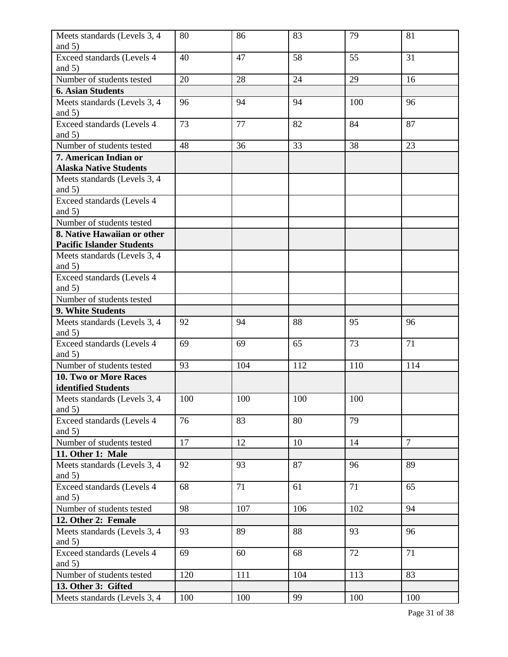| Meets standards (Levels 3, 4             | 80  | 86  | 83  | 79  | 81             |
|------------------------------------------|-----|-----|-----|-----|----------------|
| and $5)$                                 |     |     |     |     |                |
| Exceed standards (Levels 4<br>and $5)$   | 40  | 47  | 58  | 55  | 31             |
| Number of students tested                | 20  | 28  | 24  | 29  | 16             |
| <b>6. Asian Students</b>                 |     |     |     |     |                |
|                                          | 96  | 94  | 94  | 100 | 96             |
| Meets standards (Levels 3, 4<br>and $5)$ |     |     |     |     |                |
| Exceed standards (Levels 4               | 73  | 77  | 82  | 84  | 87             |
| and $5)$                                 |     |     |     |     |                |
| Number of students tested                | 48  | 36  | 33  | 38  | 23             |
| 7. American Indian or                    |     |     |     |     |                |
| <b>Alaska Native Students</b>            |     |     |     |     |                |
| Meets standards (Levels 3, 4             |     |     |     |     |                |
| and $5)$                                 |     |     |     |     |                |
| Exceed standards (Levels 4               |     |     |     |     |                |
| and $5)$                                 |     |     |     |     |                |
| Number of students tested                |     |     |     |     |                |
| 8. Native Hawaiian or other              |     |     |     |     |                |
| <b>Pacific Islander Students</b>         |     |     |     |     |                |
| Meets standards (Levels 3, 4             |     |     |     |     |                |
| and $5)$                                 |     |     |     |     |                |
| Exceed standards (Levels 4               |     |     |     |     |                |
| and $5)$                                 |     |     |     |     |                |
| Number of students tested                |     |     |     |     |                |
| 9. White Students                        |     |     |     |     |                |
| Meets standards (Levels 3, 4             | 92  | 94  | 88  | 95  | 96             |
| and $5)$                                 |     |     |     |     |                |
| Exceed standards (Levels 4               | 69  | 69  | 65  | 73  | 71             |
| and $5)$                                 |     |     |     |     |                |
| Number of students tested                | 93  | 104 | 112 | 110 | 114            |
| <b>10. Two or More Races</b>             |     |     |     |     |                |
| identified Students                      |     |     |     |     |                |
| Meets standards (Levels 3, 4             | 100 | 100 | 100 | 100 |                |
| and $5)$                                 |     |     |     |     |                |
| Exceed standards (Levels 4               | 76  | 83  | 80  | 79  |                |
| and $5)$                                 |     |     |     |     | $\overline{7}$ |
| Number of students tested                | 17  | 12  | 10  | 14  |                |
| 11. Other 1: Male                        |     |     |     |     |                |
| Meets standards (Levels 3, 4             | 92  | 93  | 87  | 96  | 89             |
| and $5)$                                 |     |     |     |     |                |
| Exceed standards (Levels 4               | 68  | 71  | 61  | 71  | 65             |
| and $5)$                                 |     |     |     |     |                |
| Number of students tested                | 98  | 107 | 106 | 102 | 94             |
| 12. Other 2: Female                      |     |     |     |     |                |
| Meets standards (Levels 3, 4<br>and $5)$ | 93  | 89  | 88  | 93  | 96             |
| Exceed standards (Levels 4               | 69  | 60  | 68  | 72  | 71             |
| and $5)$                                 |     |     |     |     |                |
| Number of students tested                | 120 | 111 | 104 | 113 | 83             |
| 13. Other 3: Gifted                      |     |     |     |     |                |
| Meets standards (Levels 3, 4             | 100 | 100 | 99  | 100 | 100            |
|                                          |     |     |     |     |                |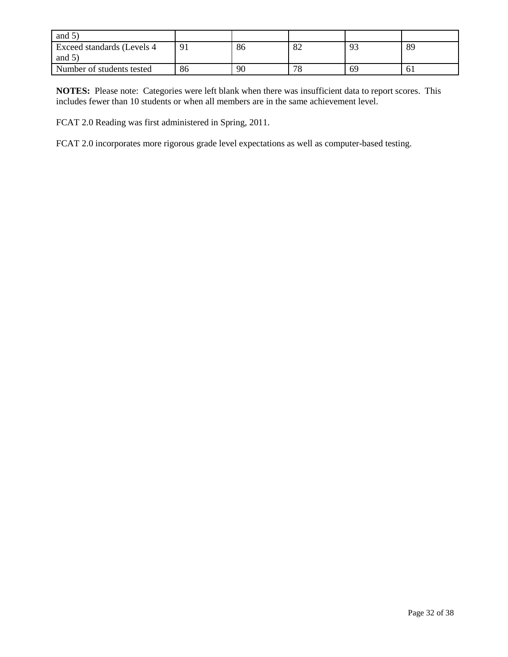| and $5^{\circ}$                          |            |    |                                   |          |    |
|------------------------------------------|------------|----|-----------------------------------|----------|----|
| Exceed standards (Levels 4)<br>and $5$ ) | $\Omega$ 1 | 86 | $\mathbf{O}^{\prime}$<br>$\Omega$ | $\Omega$ | 89 |
| Number of students tested                | 86         | 90 | 70<br>$\circ$                     | 69       | 61 |

**NOTES:** Please note: Categories were left blank when there was insufficient data to report scores. This includes fewer than 10 students or when all members are in the same achievement level.

FCAT 2.0 Reading was first administered in Spring, 2011.

FCAT 2.0 incorporates more rigorous grade level expectations as well as computer-based testing.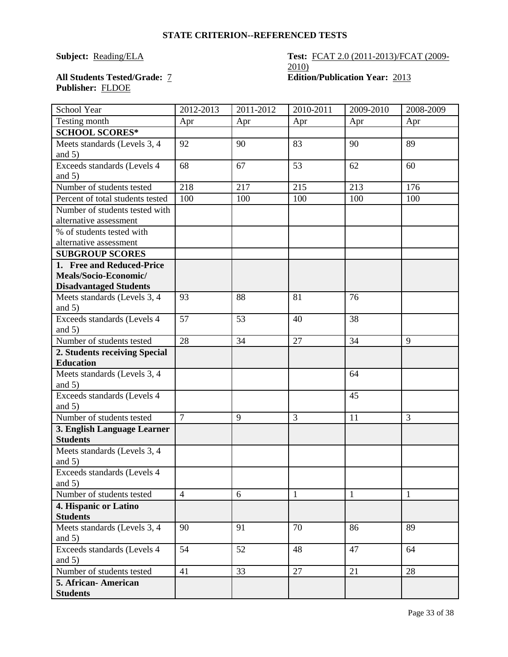### **STATE CRITERION--REFERENCED TESTS**

### **Subject:** <u>Reading/ELA</u> **Test: FCAT 2.0 (2011-2013)/FCAT (2009-**2010) **All Students Tested/Grade:** 7 **Edition/Publication Year:** 2013

# **Publisher:** FLDOE

| School Year                      | 2012-2013      | 2011-2012 | 2010-2011    | 2009-2010    | 2008-2009    |
|----------------------------------|----------------|-----------|--------------|--------------|--------------|
| Testing month                    | Apr            | Apr       | Apr          | Apr          | Apr          |
| <b>SCHOOL SCORES*</b>            |                |           |              |              |              |
| Meets standards (Levels 3, 4     | 92             | 90        | 83           | 90           | 89           |
| and $5)$                         |                |           |              |              |              |
| Exceeds standards (Levels 4      | 68             | 67        | 53           | 62           | 60           |
| and 5)                           |                |           |              |              |              |
| Number of students tested        | 218            | 217       | 215          | 213          | 176          |
| Percent of total students tested | 100            | 100       | 100          | 100          | 100          |
| Number of students tested with   |                |           |              |              |              |
| alternative assessment           |                |           |              |              |              |
| % of students tested with        |                |           |              |              |              |
| alternative assessment           |                |           |              |              |              |
| <b>SUBGROUP SCORES</b>           |                |           |              |              |              |
| 1. Free and Reduced-Price        |                |           |              |              |              |
| Meals/Socio-Economic/            |                |           |              |              |              |
| <b>Disadvantaged Students</b>    |                |           |              |              |              |
| Meets standards (Levels 3, 4     | 93             | 88        | 81           | 76           |              |
| and $5)$                         |                |           |              |              |              |
| Exceeds standards (Levels 4      | 57             | 53        | 40           | 38           |              |
| and $5)$                         |                |           |              |              |              |
| Number of students tested        | 28             | 34        | 27           | 34           | 9            |
| 2. Students receiving Special    |                |           |              |              |              |
| <b>Education</b>                 |                |           |              |              |              |
| Meets standards (Levels 3, 4     |                |           |              | 64           |              |
| and $5)$                         |                |           |              |              |              |
| Exceeds standards (Levels 4      |                |           |              | 45           |              |
| and $5)$                         |                |           |              |              |              |
| Number of students tested        | $\overline{7}$ | 9         | 3            | 11           | 3            |
| 3. English Language Learner      |                |           |              |              |              |
| <b>Students</b>                  |                |           |              |              |              |
| Meets standards (Levels 3, 4     |                |           |              |              |              |
| and $5)$                         |                |           |              |              |              |
| Exceeds standards (Levels 4      |                |           |              |              |              |
| and $5)$                         |                |           |              |              |              |
| Number of students tested        | $\overline{4}$ | 6         | $\mathbf{1}$ | $\mathbf{1}$ | $\mathbf{1}$ |
| 4. Hispanic or Latino            |                |           |              |              |              |
| <b>Students</b>                  |                |           |              |              |              |
| Meets standards (Levels 3, 4     | 90             | 91        | 70           | 86           | 89           |
| and $5)$                         |                |           |              |              |              |
| Exceeds standards (Levels 4      | 54             | 52        | 48           | 47           | 64           |
| and $5)$                         |                |           |              |              |              |
| Number of students tested        | 41             | 33        | 27           | 21           | 28           |
| 5. African- American             |                |           |              |              |              |
| <b>Students</b>                  |                |           |              |              |              |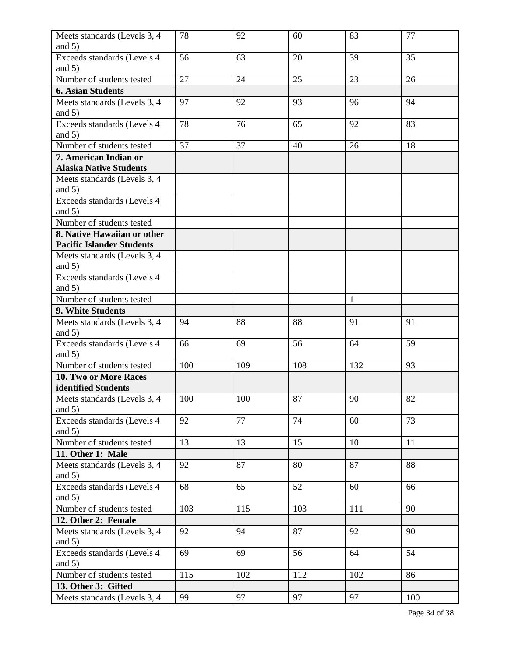| Meets standards (Levels 3, 4                                    | 78  | 92  | 60  | 83           | 77  |
|-----------------------------------------------------------------|-----|-----|-----|--------------|-----|
| and $5)$                                                        |     |     |     |              |     |
| Exceeds standards (Levels 4<br>and $5)$                         | 56  | 63  | 20  | 39           | 35  |
| Number of students tested                                       | 27  | 24  | 25  | 23           | 26  |
| <b>6. Asian Students</b>                                        |     |     |     |              |     |
| Meets standards (Levels 3, 4<br>and $5)$                        | 97  | 92  | 93  | 96           | 94  |
| Exceeds standards (Levels 4                                     | 78  | 76  | 65  | 92           | 83  |
| and $5)$                                                        |     |     |     |              |     |
| Number of students tested                                       | 37  | 37  | 40  | 26           | 18  |
| 7. American Indian or<br><b>Alaska Native Students</b>          |     |     |     |              |     |
| Meets standards (Levels 3, 4<br>and $5)$                        |     |     |     |              |     |
| Exceeds standards (Levels 4                                     |     |     |     |              |     |
| and $5)$                                                        |     |     |     |              |     |
| Number of students tested                                       |     |     |     |              |     |
| 8. Native Hawaiian or other<br><b>Pacific Islander Students</b> |     |     |     |              |     |
| Meets standards (Levels 3, 4                                    |     |     |     |              |     |
| and $5)$                                                        |     |     |     |              |     |
| Exceeds standards (Levels 4                                     |     |     |     |              |     |
| and $5)$                                                        |     |     |     |              |     |
| Number of students tested                                       |     |     |     | $\mathbf{1}$ |     |
| 9. White Students                                               |     |     |     |              |     |
| Meets standards (Levels 3, 4<br>and $5)$                        | 94  | 88  | 88  | 91           | 91  |
| Exceeds standards (Levels 4                                     | 66  | 69  | 56  | 64           | 59  |
| and $5)$                                                        |     |     |     |              |     |
| Number of students tested                                       | 100 | 109 | 108 | 132          | 93  |
| <b>10. Two or More Races</b>                                    |     |     |     |              |     |
| identified Students                                             |     |     |     |              |     |
| Meets standards (Levels 3, 4<br>and $5)$                        | 100 | 100 | 87  | 90           | 82  |
| Exceeds standards (Levels 4<br>and $5)$                         | 92  | 77  | 74  | 60           | 73  |
| Number of students tested                                       | 13  | 13  | 15  | 10           | 11  |
| 11. Other 1: Male                                               |     |     |     |              |     |
| Meets standards (Levels 3, 4<br>and $5)$                        | 92  | 87  | 80  | 87           | 88  |
| Exceeds standards (Levels 4                                     | 68  | 65  | 52  | 60           | 66  |
| and $5)$                                                        |     |     |     |              |     |
| Number of students tested                                       | 103 | 115 | 103 | 111          | 90  |
| 12. Other 2: Female                                             |     |     |     |              |     |
| Meets standards (Levels 3, 4<br>and $5)$                        | 92  | 94  | 87  | 92           | 90  |
| Exceeds standards (Levels 4                                     | 69  | 69  | 56  | 64           | 54  |
| and $5)$                                                        |     |     |     |              |     |
| Number of students tested                                       | 115 | 102 | 112 | 102          | 86  |
| 13. Other 3: Gifted                                             |     |     |     |              |     |
| Meets standards (Levels 3, 4                                    | 99  | 97  | 97  | 97           | 100 |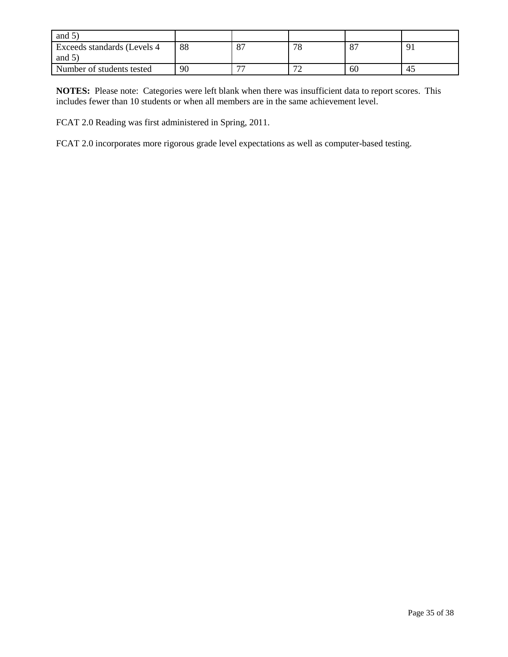| and $5^{\circ}$              |    |                          |                               |                |            |
|------------------------------|----|--------------------------|-------------------------------|----------------|------------|
| Exceeds standards (Levels 4) | 88 | 8 <sup>7</sup>           | 70<br>0                       | O7<br>$\Omega$ | $\Omega^*$ |
| and $5$ )                    |    |                          |                               |                |            |
| Number of students tested    | 90 | $\overline{\phantom{a}}$ | $\overline{\phantom{a}}$<br>∼ | 60             | 45         |

**NOTES:** Please note: Categories were left blank when there was insufficient data to report scores. This includes fewer than 10 students or when all members are in the same achievement level.

FCAT 2.0 Reading was first administered in Spring, 2011.

FCAT 2.0 incorporates more rigorous grade level expectations as well as computer-based testing.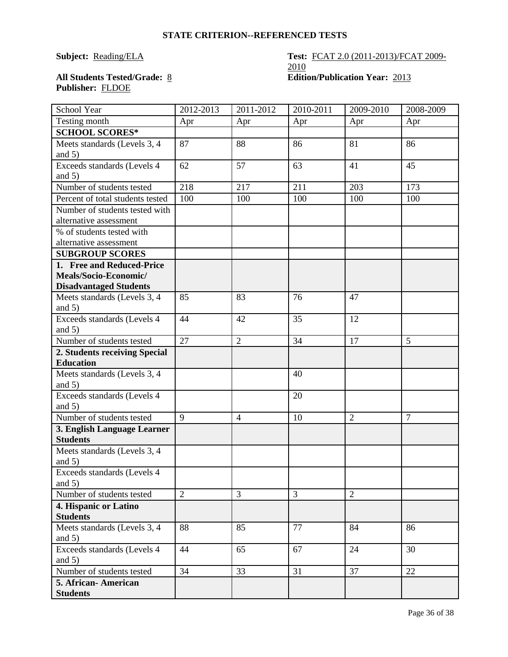### **STATE CRITERION--REFERENCED TESTS**

### **Subject: Reading/ELA Test: FCAT 2.0 (2011-2013)/FCAT 2009-**2010 **All Students Tested/Grade:** 8 **Edition/Publication Year:** 2013

# **Publisher:** FLDOE

| School Year                                    | 2012-2013      | 2011-2012      | 2010-2011 | 2009-2010      | 2008-2009      |
|------------------------------------------------|----------------|----------------|-----------|----------------|----------------|
| Testing month                                  | Apr            | Apr            | Apr       | Apr            | Apr            |
| <b>SCHOOL SCORES*</b>                          |                |                |           |                |                |
| Meets standards (Levels 3, 4                   | 87             | 88             | 86        | 81             | 86             |
| and $5)$                                       |                |                |           |                |                |
| Exceeds standards (Levels 4                    | 62             | 57             | 63        | 41             | 45             |
| and $5)$                                       |                |                |           |                |                |
| Number of students tested                      | 218            | 217            | 211       | 203            | 173            |
| Percent of total students tested               | 100            | 100            | 100       | 100            | 100            |
| Number of students tested with                 |                |                |           |                |                |
| alternative assessment                         |                |                |           |                |                |
| % of students tested with                      |                |                |           |                |                |
| alternative assessment                         |                |                |           |                |                |
| <b>SUBGROUP SCORES</b>                         |                |                |           |                |                |
| 1. Free and Reduced-Price                      |                |                |           |                |                |
| Meals/Socio-Economic/                          |                |                |           |                |                |
| <b>Disadvantaged Students</b>                  |                |                |           |                |                |
| Meets standards (Levels 3, 4                   | 85             | 83             | 76        | 47             |                |
| and $5)$                                       |                |                |           |                |                |
| Exceeds standards (Levels 4                    | 44             | 42             | 35        | 12             |                |
| and $5)$                                       |                |                |           |                |                |
| Number of students tested                      | 27             | $\overline{2}$ | 34        | 17             | 5              |
| 2. Students receiving Special                  |                |                |           |                |                |
| <b>Education</b>                               |                |                |           |                |                |
| Meets standards (Levels 3, 4                   |                |                | 40        |                |                |
| and $5)$                                       |                |                |           |                |                |
| Exceeds standards (Levels 4                    |                |                | 20        |                |                |
| and $5)$<br>Number of students tested          | $\overline{9}$ | $\overline{4}$ | 10        | $\overline{2}$ | $\overline{7}$ |
|                                                |                |                |           |                |                |
| 3. English Language Learner<br><b>Students</b> |                |                |           |                |                |
| Meets standards (Levels 3, 4                   |                |                |           |                |                |
| and $5)$                                       |                |                |           |                |                |
| Exceeds standards (Levels 4                    |                |                |           |                |                |
| and $5)$                                       |                |                |           |                |                |
| Number of students tested                      | $\overline{2}$ | 3              | 3         | $\overline{2}$ |                |
| 4. Hispanic or Latino                          |                |                |           |                |                |
| <b>Students</b>                                |                |                |           |                |                |
| Meets standards (Levels 3, 4                   | 88             | 85             | 77        | 84             | 86             |
| and $5)$                                       |                |                |           |                |                |
| Exceeds standards (Levels 4                    | 44             | 65             | 67        | 24             | 30             |
| and $5)$                                       |                |                |           |                |                |
| Number of students tested                      | 34             | 33             | 31        | 37             | 22             |
| 5. African- American                           |                |                |           |                |                |
| <b>Students</b>                                |                |                |           |                |                |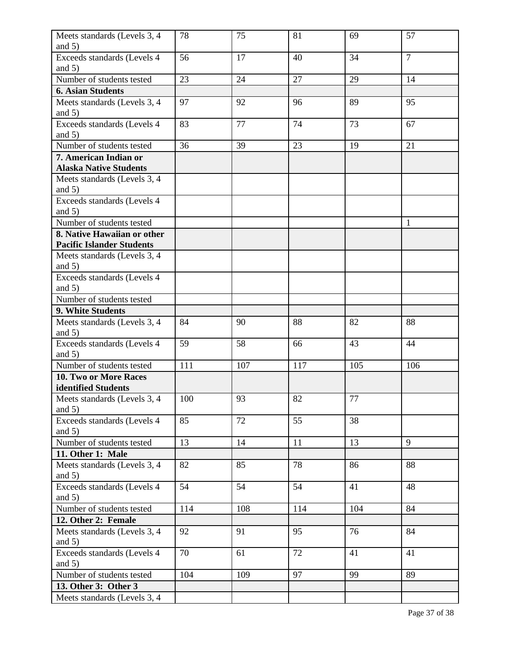| and $5)$<br>$\overline{7}$<br>Exceeds standards (Levels 4<br>56<br>17<br>40<br>34<br>and $5)$<br>Number of students tested<br>23<br>27<br>29<br>24<br>14<br><b>6. Asian Students</b><br>Meets standards (Levels 3, 4<br>97<br>92<br>89<br>95<br>96<br>and $5)$<br>77<br>Exceeds standards (Levels 4<br>83<br>74<br>73<br>67<br>and $5)$<br>Number of students tested<br>36<br>39<br>23<br>19<br>21<br>7. American Indian or<br><b>Alaska Native Students</b><br>Meets standards (Levels 3, 4<br>and $5)$<br>Exceeds standards (Levels 4<br>and $5)$<br>Number of students tested<br>1<br>8. Native Hawaiian or other<br><b>Pacific Islander Students</b><br>Meets standards (Levels 3, 4<br>and $5)$<br>Exceeds standards (Levels 4<br>and $5)$<br>Number of students tested<br>9. White Students<br>Meets standards (Levels 3, 4<br>90<br>88<br>82<br>88<br>84 |
|-----------------------------------------------------------------------------------------------------------------------------------------------------------------------------------------------------------------------------------------------------------------------------------------------------------------------------------------------------------------------------------------------------------------------------------------------------------------------------------------------------------------------------------------------------------------------------------------------------------------------------------------------------------------------------------------------------------------------------------------------------------------------------------------------------------------------------------------------------------------|
|                                                                                                                                                                                                                                                                                                                                                                                                                                                                                                                                                                                                                                                                                                                                                                                                                                                                 |
|                                                                                                                                                                                                                                                                                                                                                                                                                                                                                                                                                                                                                                                                                                                                                                                                                                                                 |
|                                                                                                                                                                                                                                                                                                                                                                                                                                                                                                                                                                                                                                                                                                                                                                                                                                                                 |
|                                                                                                                                                                                                                                                                                                                                                                                                                                                                                                                                                                                                                                                                                                                                                                                                                                                                 |
|                                                                                                                                                                                                                                                                                                                                                                                                                                                                                                                                                                                                                                                                                                                                                                                                                                                                 |
|                                                                                                                                                                                                                                                                                                                                                                                                                                                                                                                                                                                                                                                                                                                                                                                                                                                                 |
|                                                                                                                                                                                                                                                                                                                                                                                                                                                                                                                                                                                                                                                                                                                                                                                                                                                                 |
|                                                                                                                                                                                                                                                                                                                                                                                                                                                                                                                                                                                                                                                                                                                                                                                                                                                                 |
|                                                                                                                                                                                                                                                                                                                                                                                                                                                                                                                                                                                                                                                                                                                                                                                                                                                                 |
|                                                                                                                                                                                                                                                                                                                                                                                                                                                                                                                                                                                                                                                                                                                                                                                                                                                                 |
|                                                                                                                                                                                                                                                                                                                                                                                                                                                                                                                                                                                                                                                                                                                                                                                                                                                                 |
|                                                                                                                                                                                                                                                                                                                                                                                                                                                                                                                                                                                                                                                                                                                                                                                                                                                                 |
|                                                                                                                                                                                                                                                                                                                                                                                                                                                                                                                                                                                                                                                                                                                                                                                                                                                                 |
|                                                                                                                                                                                                                                                                                                                                                                                                                                                                                                                                                                                                                                                                                                                                                                                                                                                                 |
|                                                                                                                                                                                                                                                                                                                                                                                                                                                                                                                                                                                                                                                                                                                                                                                                                                                                 |
|                                                                                                                                                                                                                                                                                                                                                                                                                                                                                                                                                                                                                                                                                                                                                                                                                                                                 |
|                                                                                                                                                                                                                                                                                                                                                                                                                                                                                                                                                                                                                                                                                                                                                                                                                                                                 |
|                                                                                                                                                                                                                                                                                                                                                                                                                                                                                                                                                                                                                                                                                                                                                                                                                                                                 |
|                                                                                                                                                                                                                                                                                                                                                                                                                                                                                                                                                                                                                                                                                                                                                                                                                                                                 |
|                                                                                                                                                                                                                                                                                                                                                                                                                                                                                                                                                                                                                                                                                                                                                                                                                                                                 |
|                                                                                                                                                                                                                                                                                                                                                                                                                                                                                                                                                                                                                                                                                                                                                                                                                                                                 |
|                                                                                                                                                                                                                                                                                                                                                                                                                                                                                                                                                                                                                                                                                                                                                                                                                                                                 |
|                                                                                                                                                                                                                                                                                                                                                                                                                                                                                                                                                                                                                                                                                                                                                                                                                                                                 |
|                                                                                                                                                                                                                                                                                                                                                                                                                                                                                                                                                                                                                                                                                                                                                                                                                                                                 |
|                                                                                                                                                                                                                                                                                                                                                                                                                                                                                                                                                                                                                                                                                                                                                                                                                                                                 |
| and $5)$                                                                                                                                                                                                                                                                                                                                                                                                                                                                                                                                                                                                                                                                                                                                                                                                                                                        |
| 59<br>58<br>43<br>44<br>Exceeds standards (Levels 4<br>66                                                                                                                                                                                                                                                                                                                                                                                                                                                                                                                                                                                                                                                                                                                                                                                                       |
| and $5)$                                                                                                                                                                                                                                                                                                                                                                                                                                                                                                                                                                                                                                                                                                                                                                                                                                                        |
| Number of students tested<br>111<br>107<br>117<br>105<br>106                                                                                                                                                                                                                                                                                                                                                                                                                                                                                                                                                                                                                                                                                                                                                                                                    |
| 10. Two or More Races                                                                                                                                                                                                                                                                                                                                                                                                                                                                                                                                                                                                                                                                                                                                                                                                                                           |
| identified Students                                                                                                                                                                                                                                                                                                                                                                                                                                                                                                                                                                                                                                                                                                                                                                                                                                             |
| 77<br>Meets standards (Levels 3, 4<br>100<br>93<br>82                                                                                                                                                                                                                                                                                                                                                                                                                                                                                                                                                                                                                                                                                                                                                                                                           |
| and $5)$                                                                                                                                                                                                                                                                                                                                                                                                                                                                                                                                                                                                                                                                                                                                                                                                                                                        |
| 85<br>38<br>Exceeds standards (Levels 4<br>72<br>55                                                                                                                                                                                                                                                                                                                                                                                                                                                                                                                                                                                                                                                                                                                                                                                                             |
| and $5)$                                                                                                                                                                                                                                                                                                                                                                                                                                                                                                                                                                                                                                                                                                                                                                                                                                                        |
| Number of students tested<br>13<br>13<br>9<br>14<br>11                                                                                                                                                                                                                                                                                                                                                                                                                                                                                                                                                                                                                                                                                                                                                                                                          |
| 11. Other 1: Male                                                                                                                                                                                                                                                                                                                                                                                                                                                                                                                                                                                                                                                                                                                                                                                                                                               |
| 88<br>Meets standards (Levels 3, 4<br>82<br>85<br>78<br>86                                                                                                                                                                                                                                                                                                                                                                                                                                                                                                                                                                                                                                                                                                                                                                                                      |
| and $5)$                                                                                                                                                                                                                                                                                                                                                                                                                                                                                                                                                                                                                                                                                                                                                                                                                                                        |
| 54<br>54<br>Exceeds standards (Levels 4<br>54<br>41<br>48                                                                                                                                                                                                                                                                                                                                                                                                                                                                                                                                                                                                                                                                                                                                                                                                       |
| and $5)$                                                                                                                                                                                                                                                                                                                                                                                                                                                                                                                                                                                                                                                                                                                                                                                                                                                        |
| Number of students tested<br>114<br>108<br>114<br>104<br>84                                                                                                                                                                                                                                                                                                                                                                                                                                                                                                                                                                                                                                                                                                                                                                                                     |
| 12. Other 2: Female                                                                                                                                                                                                                                                                                                                                                                                                                                                                                                                                                                                                                                                                                                                                                                                                                                             |
| Meets standards (Levels 3, 4<br>92<br>95<br>76<br>84<br>91                                                                                                                                                                                                                                                                                                                                                                                                                                                                                                                                                                                                                                                                                                                                                                                                      |
| and $5)$                                                                                                                                                                                                                                                                                                                                                                                                                                                                                                                                                                                                                                                                                                                                                                                                                                                        |
| 70<br>72<br>Exceeds standards (Levels 4<br>41<br>41<br>61                                                                                                                                                                                                                                                                                                                                                                                                                                                                                                                                                                                                                                                                                                                                                                                                       |
| and $5)$                                                                                                                                                                                                                                                                                                                                                                                                                                                                                                                                                                                                                                                                                                                                                                                                                                                        |
| Number of students tested<br>97<br>104<br>109<br>99<br>89                                                                                                                                                                                                                                                                                                                                                                                                                                                                                                                                                                                                                                                                                                                                                                                                       |
| 13. Other 3: Other 3                                                                                                                                                                                                                                                                                                                                                                                                                                                                                                                                                                                                                                                                                                                                                                                                                                            |
| Meets standards (Levels 3, 4                                                                                                                                                                                                                                                                                                                                                                                                                                                                                                                                                                                                                                                                                                                                                                                                                                    |